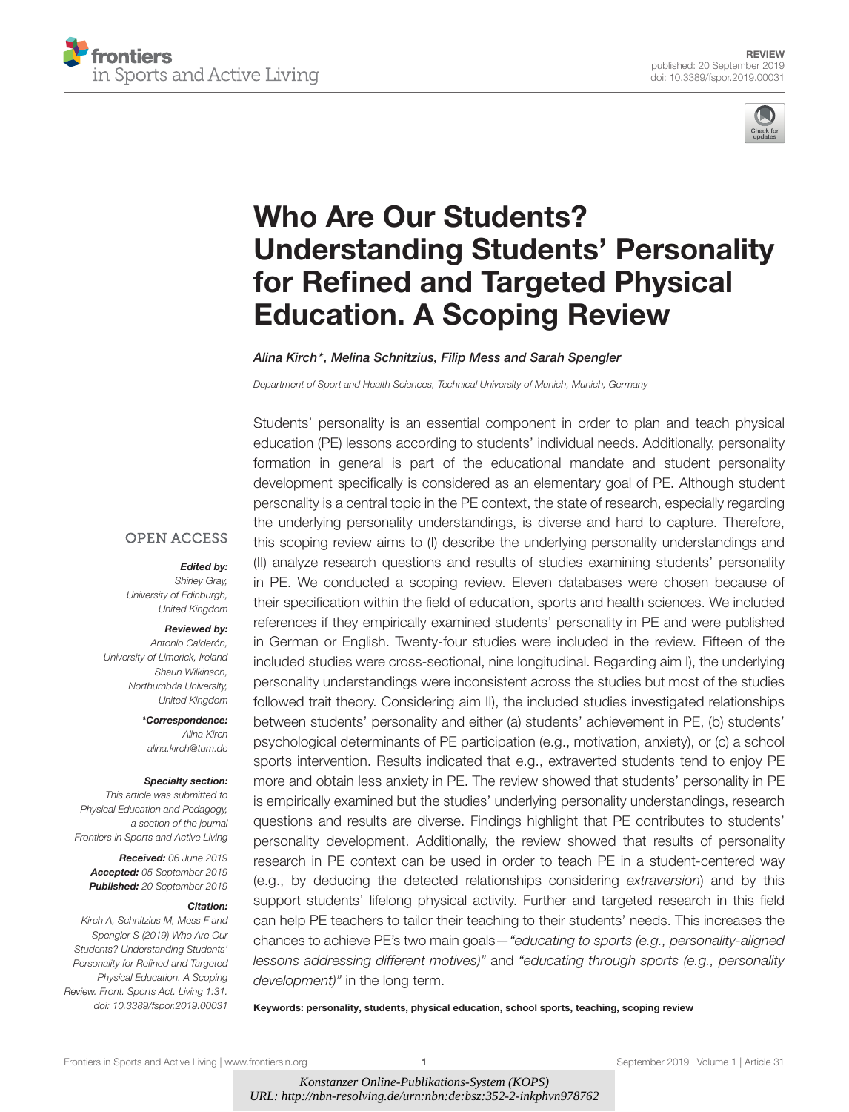



# Who Are Our Students? [Understanding Students' Personality](https://www.frontiersin.org/articles/10.3389/fspor.2019.00031/full) for Refined and Targeted Physical Education. A Scoping Review

[Alina Kirch\\*](http://loop.frontiersin.org/people/722500/overview), [Melina Schnitzius,](http://loop.frontiersin.org/people/709648/overview) [Filip Mess](http://loop.frontiersin.org/people/459496/overview) and [Sarah Spengler](http://loop.frontiersin.org/people/459733/overview)

Department of Sport and Health Sciences, Technical University of Munich, Munich, Germany

Students' personality is an essential component in order to plan and teach physical education (PE) lessons according to students' individual needs. Additionally, personality formation in general is part of the educational mandate and student personality development specifically is considered as an elementary goal of PE. Although student personality is a central topic in the PE context, the state of research, especially regarding the underlying personality understandings, is diverse and hard to capture. Therefore, this scoping review aims to (I) describe the underlying personality understandings and (II) analyze research questions and results of studies examining students' personality in PE. We conducted a scoping review. Eleven databases were chosen because of their specification within the field of education, sports and health sciences. We included references if they empirically examined students' personality in PE and were published in German or English. Twenty-four studies were included in the review. Fifteen of the included studies were cross-sectional, nine longitudinal. Regarding aim I), the underlying personality understandings were inconsistent across the studies but most of the studies followed trait theory. Considering aim II), the included studies investigated relationships between students' personality and either (a) students' achievement in PE, (b) students' psychological determinants of PE participation (e.g., motivation, anxiety), or (c) a school sports intervention. Results indicated that e.g., extraverted students tend to enjoy PE more and obtain less anxiety in PE. The review showed that students' personality in PE is empirically examined but the studies' underlying personality understandings, research questions and results are diverse. Findings highlight that PE contributes to students' personality development. Additionally, the review showed that results of personality research in PE context can be used in order to teach PE in a student-centered way (e.g., by deducing the detected relationships considering extraversion) and by this support students' lifelong physical activity. Further and targeted research in this field can help PE teachers to tailor their teaching to their students' needs. This increases the chances to achieve PE's two main goals—"educating to sports (e.g., personality-aligned lessons addressing different motives)" and "educating through sports (e.g., personality development)" in the long term.

Keywords: personality, students, physical education, school sports, teaching, scoping review

**OPEN ACCESS** 

#### Edited by:

Shirley Gray, University of Edinburgh, United Kingdom

#### Reviewed by:

Antonio Calderón, University of Limerick, Ireland Shaun Wilkinson, Northumbria University, United Kingdom

> \*Correspondence: Alina Kirch [alina.kirch@tum.de](mailto:alina.kirch@tum.de)

#### Specialty section:

This article was submitted to Physical Education and Pedagogy, a section of the journal Frontiers in Sports and Active Living

Received: 06 June 2019 Accepted: 05 September 2019 Published: 20 September 2019

#### Citation:

Kirch A, Schnitzius M, Mess F and Spengler S (2019) Who Are Our Students? Understanding Students' Personality for Refined and Targeted Physical Education. A Scoping Review. Front. Sports Act. Living 1:31. doi: [10.3389/fspor.2019.00031](https://doi.org/10.3389/fspor.2019.00031)

[Frontiers in Sports and Active Living](https://www.frontiersin.org/journals/sports-and-active-living)| [www.frontiersin.org](https://www.frontiersin.org) 1 [September 2019 | Volume 1 | Article 31](https://www.frontiersin.org/journals/sports-and-active-living#articles)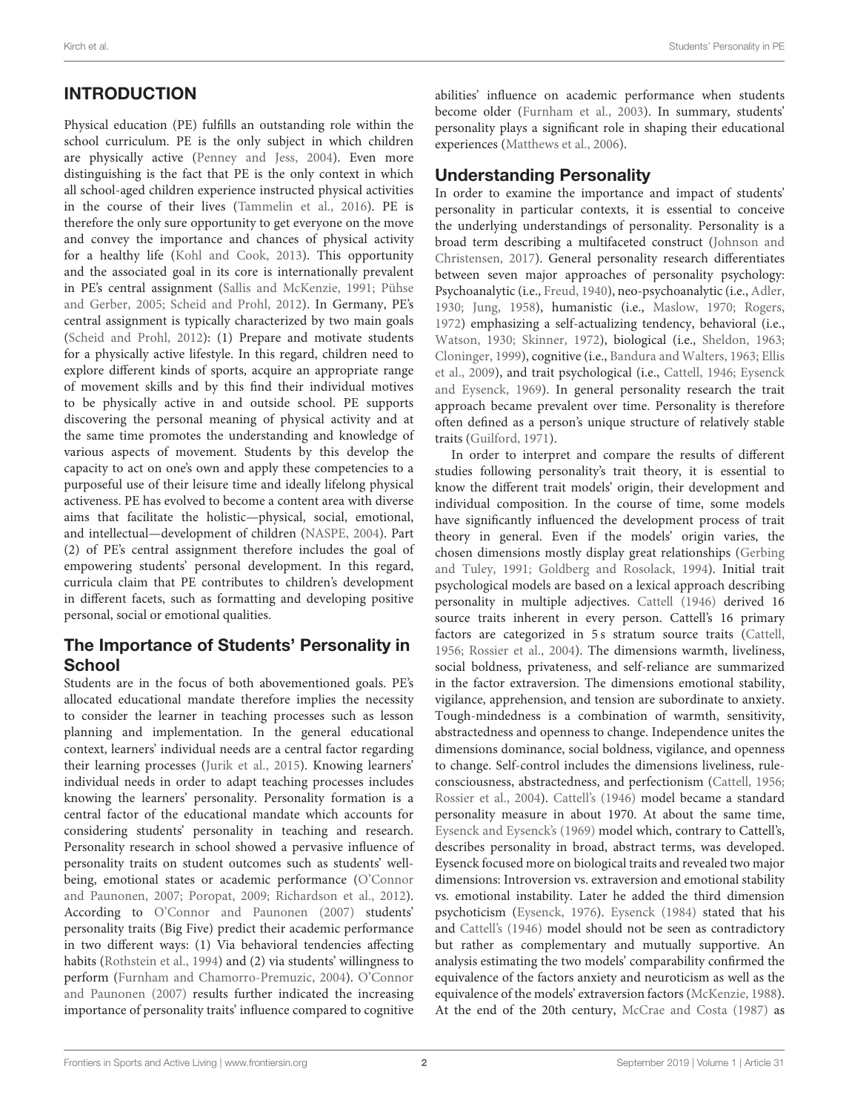# INTRODUCTION

Physical education (PE) fulfills an outstanding role within the school curriculum. PE is the only subject in which children are physically active [\(Penney and Jess, 2004\)](#page-18-0). Even more distinguishing is the fact that PE is the only context in which all school-aged children experience instructed physical activities in the course of their lives [\(Tammelin et al., 2016\)](#page-18-1). PE is therefore the only sure opportunity to get everyone on the move and convey the importance and chances of physical activity for a healthy life [\(Kohl and Cook, 2013\)](#page-17-0). This opportunity and the associated goal in its core is internationally prevalent in PE's central assignment [\(Sallis and McKenzie, 1991;](#page-18-2) Pühse and Gerber, [2005;](#page-18-3) [Scheid and Prohl, 2012\)](#page-18-4). In Germany, PE's central assignment is typically characterized by two main goals [\(Scheid and Prohl, 2012\)](#page-18-4): (1) Prepare and motivate students for a physically active lifestyle. In this regard, children need to explore different kinds of sports, acquire an appropriate range of movement skills and by this find their individual motives to be physically active in and outside school. PE supports discovering the personal meaning of physical activity and at the same time promotes the understanding and knowledge of various aspects of movement. Students by this develop the capacity to act on one's own and apply these competencies to a purposeful use of their leisure time and ideally lifelong physical activeness. PE has evolved to become a content area with diverse aims that facilitate the holistic—physical, social, emotional, and intellectual—development of children [\(NASPE, 2004\)](#page-17-1). Part (2) of PE's central assignment therefore includes the goal of empowering students' personal development. In this regard, curricula claim that PE contributes to children's development in different facets, such as formatting and developing positive personal, social or emotional qualities.

# The Importance of Students' Personality in **School**

Students are in the focus of both abovementioned goals. PE's allocated educational mandate therefore implies the necessity to consider the learner in teaching processes such as lesson planning and implementation. In the general educational context, learners' individual needs are a central factor regarding their learning processes [\(Jurik et al., 2015\)](#page-17-2). Knowing learners' individual needs in order to adapt teaching processes includes knowing the learners' personality. Personality formation is a central factor of the educational mandate which accounts for considering students' personality in teaching and research. Personality research in school showed a pervasive influence of personality traits on student outcomes such as students' wellbeing, emotional states or academic performance (O'Connor and Paunonen, [2007;](#page-18-5) [Poropat, 2009;](#page-18-6) [Richardson et al., 2012\)](#page-18-7). According to [O'Connor and Paunonen \(2007\)](#page-18-5) students' personality traits (Big Five) predict their academic performance in two different ways: (1) Via behavioral tendencies affecting habits [\(Rothstein et al., 1994\)](#page-18-8) and (2) via students' willingness to perform [\(Furnham and Chamorro-Premuzic, 2004\)](#page-16-0). O'Connor and Paunonen [\(2007\)](#page-18-5) results further indicated the increasing importance of personality traits' influence compared to cognitive abilities' influence on academic performance when students become older [\(Furnham et al., 2003\)](#page-16-1). In summary, students' personality plays a significant role in shaping their educational experiences [\(Matthews et al., 2006\)](#page-17-3).

# Understanding Personality

In order to examine the importance and impact of students' personality in particular contexts, it is essential to conceive the underlying understandings of personality. Personality is a broad term describing a multifaceted construct (Johnson and Christensen, [2017\)](#page-17-4). General personality research differentiates between seven major approaches of personality psychology: Psychoanalytic (i.e., [Freud, 1940\)](#page-16-2), neo-psychoanalytic (i.e., [Adler,](#page-15-0) [1930;](#page-15-0) [Jung, 1958\)](#page-17-5), humanistic (i.e., [Maslow, 1970;](#page-17-6) [Rogers,](#page-18-9) [1972\)](#page-18-9) emphasizing a self-actualizing tendency, behavioral (i.e., [Watson, 1930;](#page-18-10) [Skinner, 1972\)](#page-18-11), biological (i.e., [Sheldon, 1963;](#page-18-12) [Cloninger, 1999\)](#page-16-3), cognitive (i.e., [Bandura and Walters, 1963;](#page-16-4) Ellis et al., [2009\)](#page-16-5), and trait psychological (i.e., [Cattell, 1946;](#page-16-6) Eysenck and Eysenck, [1969\)](#page-16-7). In general personality research the trait approach became prevalent over time. Personality is therefore often defined as a person's unique structure of relatively stable traits [\(Guilford, 1971\)](#page-17-7).

In order to interpret and compare the results of different studies following personality's trait theory, it is essential to know the different trait models' origin, their development and individual composition. In the course of time, some models have significantly influenced the development process of trait theory in general. Even if the models' origin varies, the chosen dimensions mostly display great relationships (Gerbing and Tuley, [1991;](#page-16-8) [Goldberg and Rosolack, 1994\)](#page-16-9). Initial trait psychological models are based on a lexical approach describing personality in multiple adjectives. [Cattell \(1946\)](#page-16-6) derived 16 source traits inherent in every person. Cattell's 16 primary factors are categorized in 5 s stratum source traits [\(Cattell,](#page-16-10) [1956;](#page-16-10) [Rossier et al., 2004\)](#page-18-13). The dimensions warmth, liveliness, social boldness, privateness, and self-reliance are summarized in the factor extraversion. The dimensions emotional stability, vigilance, apprehension, and tension are subordinate to anxiety. Tough-mindedness is a combination of warmth, sensitivity, abstractedness and openness to change. Independence unites the dimensions dominance, social boldness, vigilance, and openness to change. Self-control includes the dimensions liveliness, ruleconsciousness, abstractedness, and perfectionism [\(Cattell, 1956;](#page-16-10) [Rossier et al., 2004\)](#page-18-13). [Cattell's \(1946\)](#page-16-6) model became a standard personality measure in about 1970. At about the same time, [Eysenck and Eysenck's \(1969\)](#page-16-7) model which, contrary to Cattell's, describes personality in broad, abstract terms, was developed. Eysenck focused more on biological traits and revealed two major dimensions: Introversion vs. extraversion and emotional stability vs. emotional instability. Later he added the third dimension psychoticism [\(Eysenck, 1976\)](#page-16-11). [Eysenck \(1984\)](#page-16-12) stated that his and [Cattell's \(1946\)](#page-16-6) model should not be seen as contradictory but rather as complementary and mutually supportive. An analysis estimating the two models' comparability confirmed the equivalence of the factors anxiety and neuroticism as well as the equivalence of the models' extraversion factors [\(McKenzie, 1988\)](#page-17-8). At the end of the 20th century, [McCrae and Costa \(1987\)](#page-17-9) as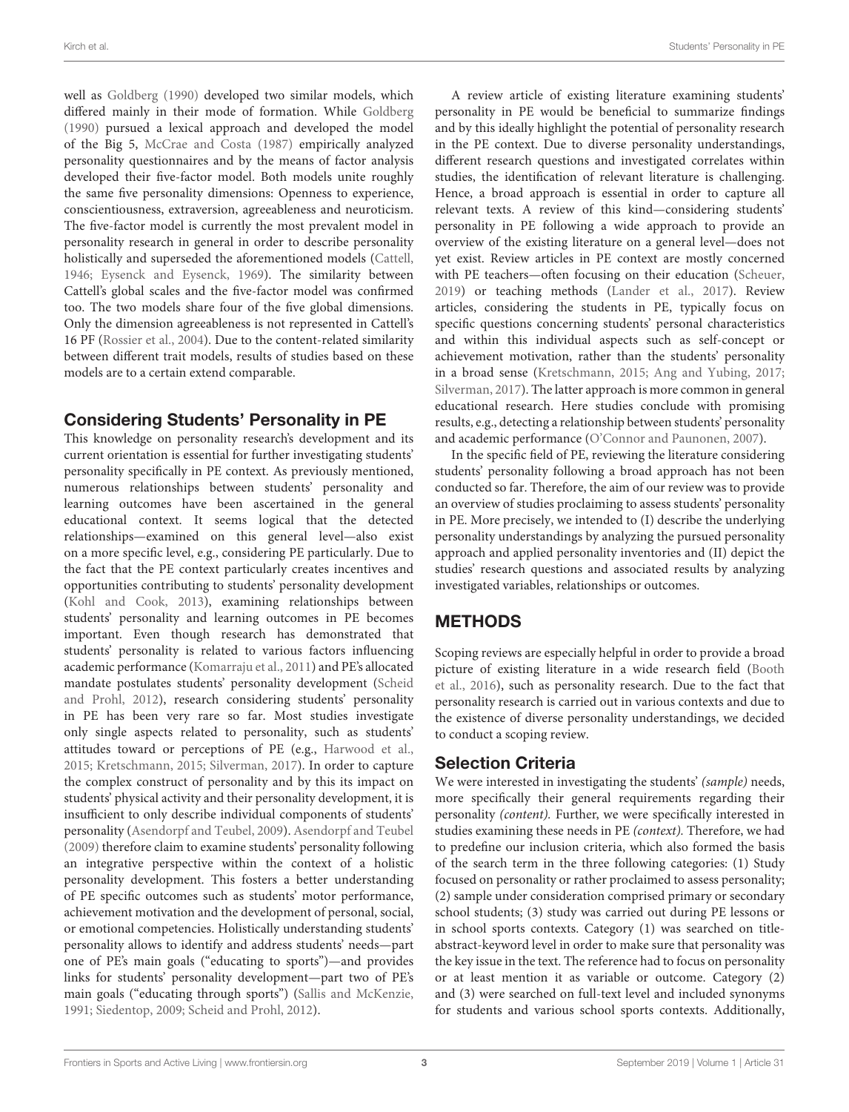well as [Goldberg \(1990\)](#page-16-13) developed two similar models, which differed mainly in their mode of formation. While [Goldberg](#page-16-13) [\(1990\)](#page-16-13) pursued a lexical approach and developed the model of the Big 5, [McCrae and Costa \(1987\)](#page-17-9) empirically analyzed personality questionnaires and by the means of factor analysis developed their five-factor model. Both models unite roughly the same five personality dimensions: Openness to experience, conscientiousness, extraversion, agreeableness and neuroticism. The five-factor model is currently the most prevalent model in personality research in general in order to describe personality holistically and superseded the aforementioned models [\(Cattell,](#page-16-6) [1946;](#page-16-6) [Eysenck and Eysenck, 1969\)](#page-16-7). The similarity between Cattell's global scales and the five-factor model was confirmed too. The two models share four of the five global dimensions. Only the dimension agreeableness is not represented in Cattell's 16 PF [\(Rossier et al., 2004\)](#page-18-13). Due to the content-related similarity between different trait models, results of studies based on these models are to a certain extend comparable.

### Considering Students' Personality in PE

This knowledge on personality research's development and its current orientation is essential for further investigating students' personality specifically in PE context. As previously mentioned, numerous relationships between students' personality and learning outcomes have been ascertained in the general educational context. It seems logical that the detected relationships—examined on this general level—also exist on a more specific level, e.g., considering PE particularly. Due to the fact that the PE context particularly creates incentives and opportunities contributing to students' personality development [\(Kohl and Cook, 2013\)](#page-17-0), examining relationships between students' personality and learning outcomes in PE becomes important. Even though research has demonstrated that students' personality is related to various factors influencing academic performance [\(Komarraju et al., 2011\)](#page-17-10) and PE's allocated mandate postulates students' personality development (Scheid and Prohl, [2012\)](#page-18-4), research considering students' personality in PE has been very rare so far. Most studies investigate only single aspects related to personality, such as students' attitudes toward or perceptions of PE (e.g., [Harwood et al.,](#page-17-11) [2015;](#page-17-11) [Kretschmann, 2015;](#page-17-12) [Silverman, 2017\)](#page-18-14). In order to capture the complex construct of personality and by this its impact on students' physical activity and their personality development, it is insufficient to only describe individual components of students' personality [\(Asendorpf and Teubel, 2009\)](#page-16-14). [Asendorpf and Teubel](#page-16-14) [\(2009\)](#page-16-14) therefore claim to examine students' personality following an integrative perspective within the context of a holistic personality development. This fosters a better understanding of PE specific outcomes such as students' motor performance, achievement motivation and the development of personal, social, or emotional competencies. Holistically understanding students' personality allows to identify and address students' needs—part one of PE's main goals ("educating to sports")—and provides links for students' personality development—part two of PE's main goals ("educating through sports") [\(Sallis and McKenzie,](#page-18-2) [1991;](#page-18-2) [Siedentop, 2009;](#page-18-15) [Scheid and Prohl, 2012\)](#page-18-4).

A review article of existing literature examining students' personality in PE would be beneficial to summarize findings and by this ideally highlight the potential of personality research in the PE context. Due to diverse personality understandings, different research questions and investigated correlates within studies, the identification of relevant literature is challenging. Hence, a broad approach is essential in order to capture all relevant texts. A review of this kind—considering students' personality in PE following a wide approach to provide an overview of the existing literature on a general level—does not yet exist. Review articles in PE context are mostly concerned with PE teachers—often focusing on their education [\(Scheuer,](#page-18-16) [2019\)](#page-18-16) or teaching methods [\(Lander et al., 2017\)](#page-17-13). Review articles, considering the students in PE, typically focus on specific questions concerning students' personal characteristics and within this individual aspects such as self-concept or achievement motivation, rather than the students' personality in a broad sense [\(Kretschmann, 2015;](#page-17-12) [Ang and Yubing, 2017;](#page-15-1) [Silverman, 2017\)](#page-18-14). The latter approach is more common in general educational research. Here studies conclude with promising results, e.g., detecting a relationship between students' personality and academic performance [\(O'Connor and Paunonen, 2007\)](#page-18-5).

In the specific field of PE, reviewing the literature considering students' personality following a broad approach has not been conducted so far. Therefore, the aim of our review was to provide an overview of studies proclaiming to assess students' personality in PE. More precisely, we intended to (I) describe the underlying personality understandings by analyzing the pursued personality approach and applied personality inventories and (II) depict the studies' research questions and associated results by analyzing investigated variables, relationships or outcomes.

# METHODS

Scoping reviews are especially helpful in order to provide a broad picture of existing literature in a wide research field (Booth et al., [2016\)](#page-16-15), such as personality research. Due to the fact that personality research is carried out in various contexts and due to the existence of diverse personality understandings, we decided to conduct a scoping review.

# Selection Criteria

We were interested in investigating the students' (sample) needs, more specifically their general requirements regarding their personality (content). Further, we were specifically interested in studies examining these needs in PE (context). Therefore, we had to predefine our inclusion criteria, which also formed the basis of the search term in the three following categories: (1) Study focused on personality or rather proclaimed to assess personality; (2) sample under consideration comprised primary or secondary school students; (3) study was carried out during PE lessons or in school sports contexts. Category (1) was searched on titleabstract-keyword level in order to make sure that personality was the key issue in the text. The reference had to focus on personality or at least mention it as variable or outcome. Category (2) and (3) were searched on full-text level and included synonyms for students and various school sports contexts. Additionally,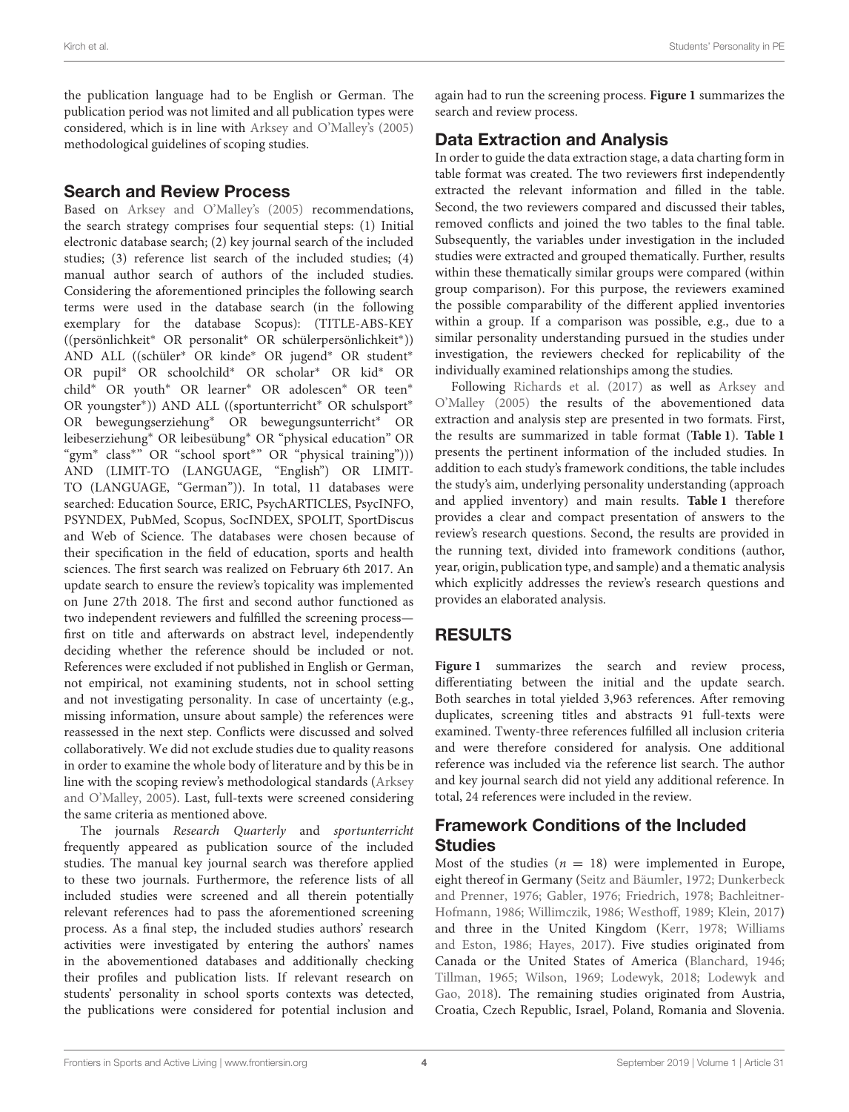the publication language had to be English or German. The publication period was not limited and all publication types were considered, which is in line with [Arksey and O'Malley's \(2005\)](#page-16-16) methodological guidelines of scoping studies.

### Search and Review Process

Based on [Arksey and O'Malley's \(2005\)](#page-16-16) recommendations, the search strategy comprises four sequential steps: (1) Initial electronic database search; (2) key journal search of the included studies; (3) reference list search of the included studies; (4) manual author search of authors of the included studies. Considering the aforementioned principles the following search terms were used in the database search (in the following exemplary for the database Scopus): (TITLE-ABS-KEY ((persönlichkeit<sup>∗</sup> OR personalit<sup>∗</sup> OR schülerpersönlichkeit<sup>∗</sup> )) AND ALL ((schüler<sup>∗</sup> OR kinde<sup>∗</sup> OR jugend<sup>∗</sup> OR student<sup>∗</sup> OR pupil<sup>∗</sup> OR schoolchild<sup>∗</sup> OR scholar<sup>∗</sup> OR kid<sup>∗</sup> OR child<sup>∗</sup> OR youth<sup>∗</sup> OR learner<sup>∗</sup> OR adolescen<sup>∗</sup> OR teen<sup>∗</sup> OR youngster<sup>∗</sup> )) AND ALL ((sportunterricht<sup>∗</sup> OR schulsport<sup>∗</sup> OR bewegungserziehung<sup>∗</sup> OR bewegungsunterricht<sup>∗</sup> OR leibeserziehung<sup>∗</sup> OR leibesübung<sup>∗</sup> OR "physical education" OR "gym<sup>∗</sup> class<sup>∗</sup> " OR "school sport<sup>∗</sup> " OR "physical training"))) AND (LIMIT-TO (LANGUAGE, "English") OR LIMIT-TO (LANGUAGE, "German")). In total, 11 databases were searched: Education Source, ERIC, PsychARTICLES, PsycINFO, PSYNDEX, PubMed, Scopus, SocINDEX, SPOLIT, SportDiscus and Web of Science. The databases were chosen because of their specification in the field of education, sports and health sciences. The first search was realized on February 6th 2017. An update search to ensure the review's topicality was implemented on June 27th 2018. The first and second author functioned as two independent reviewers and fulfilled the screening process first on title and afterwards on abstract level, independently deciding whether the reference should be included or not. References were excluded if not published in English or German, not empirical, not examining students, not in school setting and not investigating personality. In case of uncertainty (e.g., missing information, unsure about sample) the references were reassessed in the next step. Conflicts were discussed and solved collaboratively. We did not exclude studies due to quality reasons in order to examine the whole body of literature and by this be in line with the scoping review's methodological standards (Arksey and O'Malley, [2005\)](#page-16-16). Last, full-texts were screened considering the same criteria as mentioned above.

The journals Research Quarterly and sportunterricht frequently appeared as publication source of the included studies. The manual key journal search was therefore applied to these two journals. Furthermore, the reference lists of all included studies were screened and all therein potentially relevant references had to pass the aforementioned screening process. As a final step, the included studies authors' research activities were investigated by entering the authors' names in the abovementioned databases and additionally checking their profiles and publication lists. If relevant research on students' personality in school sports contexts was detected, the publications were considered for potential inclusion and

again had to run the screening process. **[Figure 1](#page-4-0)** summarizes the search and review process.

# Data Extraction and Analysis

In order to guide the data extraction stage, a data charting form in table format was created. The two reviewers first independently extracted the relevant information and filled in the table. Second, the two reviewers compared and discussed their tables, removed conflicts and joined the two tables to the final table. Subsequently, the variables under investigation in the included studies were extracted and grouped thematically. Further, results within these thematically similar groups were compared (within group comparison). For this purpose, the reviewers examined the possible comparability of the different applied inventories within a group. If a comparison was possible, e.g., due to a similar personality understanding pursued in the studies under investigation, the reviewers checked for replicability of the individually examined relationships among the studies.

Following [Richards et al. \(2017\)](#page-18-17) as well as Arksey and O'Malley [\(2005\)](#page-16-16) the results of the abovementioned data extraction and analysis step are presented in two formats. First, the results are summarized in table format (**[Table 1](#page-5-0)**). **[Table 1](#page-5-0)** presents the pertinent information of the included studies. In addition to each study's framework conditions, the table includes the study's aim, underlying personality understanding (approach and applied inventory) and main results. **[Table 1](#page-5-0)** therefore provides a clear and compact presentation of answers to the review's research questions. Second, the results are provided in the running text, divided into framework conditions (author, year, origin, publication type, and sample) and a thematic analysis which explicitly addresses the review's research questions and provides an elaborated analysis.

# RESULTS

[Figure 1](#page-4-0) summarizes the search and review process, differentiating between the initial and the update search. Both searches in total yielded 3,963 references. After removing duplicates, screening titles and abstracts 91 full-texts were examined. Twenty-three references fulfilled all inclusion criteria and were therefore considered for analysis. One additional reference was included via the reference list search. The author and key journal search did not yield any additional reference. In total, 24 references were included in the review.

# Framework Conditions of the Included Studies

Most of the studies ( $n = 18$ ) were implemented in Europe, eight thereof in Germany [\(Seitz and Bäumler, 1972;](#page-18-18) Dunkerbeck and Prenner, [1976;](#page-16-17) [Gabler, 1976;](#page-16-18) [Friedrich, 1978;](#page-16-19) Bachleitner-Hofmann, [1986;](#page-16-20) [Willimczik, 1986;](#page-19-0) [Westhoff, 1989;](#page-18-19) [Klein, 2017\)](#page-17-14) and three in the United Kingdom [\(Kerr, 1978;](#page-17-15) Williams and Eston, [1986;](#page-19-1) [Hayes, 2017\)](#page-17-16). Five studies originated from Canada or the United States of America [\(Blanchard, 1946;](#page-16-21) [Tillman, 1965;](#page-18-20) [Wilson, 1969;](#page-19-2) [Lodewyk, 2018;](#page-17-17) Lodewyk and Gao, [2018\)](#page-17-18). The remaining studies originated from Austria, Croatia, Czech Republic, Israel, Poland, Romania and Slovenia.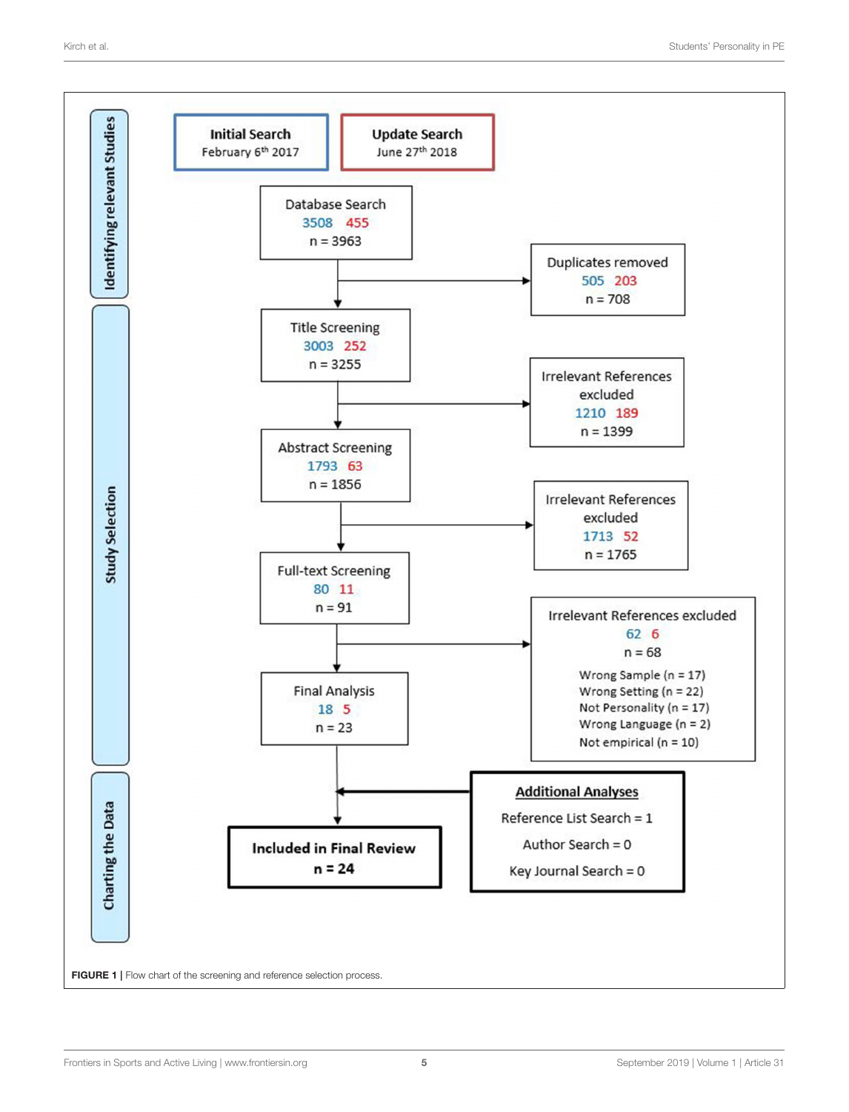<span id="page-4-0"></span>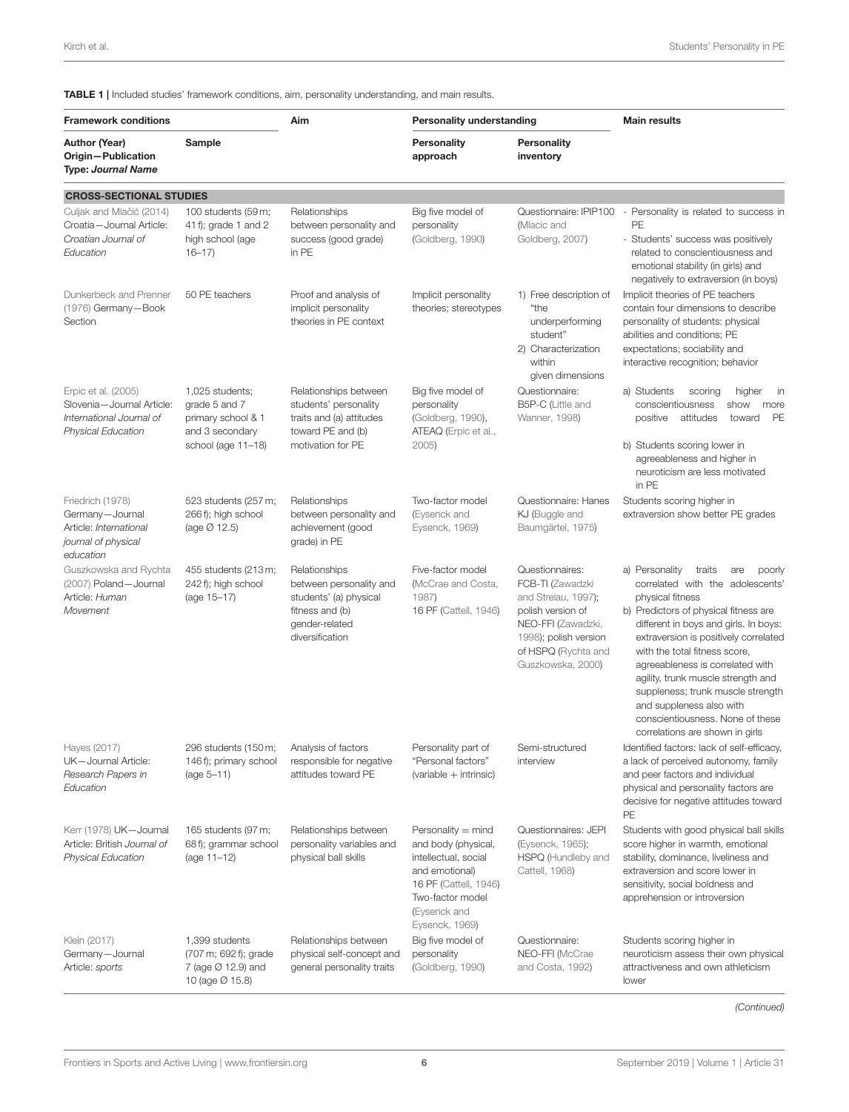<span id="page-5-0"></span>TABLE 1 | Included studies' framework conditions, aim, personality understanding, and main results.

| <b>Framework conditions</b>                                                                               |                                                                                                 | Aim                                                                                                                        | <b>Personality understanding</b>                                                                                                                                     |                                                                                                                                                                            | <b>Main results</b>                                                                                                                                                                                                                                                                                                                                                                                                                                                             |
|-----------------------------------------------------------------------------------------------------------|-------------------------------------------------------------------------------------------------|----------------------------------------------------------------------------------------------------------------------------|----------------------------------------------------------------------------------------------------------------------------------------------------------------------|----------------------------------------------------------------------------------------------------------------------------------------------------------------------------|---------------------------------------------------------------------------------------------------------------------------------------------------------------------------------------------------------------------------------------------------------------------------------------------------------------------------------------------------------------------------------------------------------------------------------------------------------------------------------|
| <b>Author (Year)</b><br>Origin-Publication<br><b>Type: Journal Name</b>                                   | Sample                                                                                          |                                                                                                                            | Personality<br>approach                                                                                                                                              | <b>Personality</b><br>inventory                                                                                                                                            |                                                                                                                                                                                                                                                                                                                                                                                                                                                                                 |
| <b>CROSS-SECTIONAL STUDIES</b>                                                                            |                                                                                                 |                                                                                                                            |                                                                                                                                                                      |                                                                                                                                                                            |                                                                                                                                                                                                                                                                                                                                                                                                                                                                                 |
| Culjak and Mlačić (2014)<br>Croatia-Journal Article:<br>Croatian Journal of<br>Education                  | 100 students (59 m;<br>41 f); grade 1 and 2<br>high school (age<br>$16 - 17$                    | Relationships<br>between personality and<br>success (good grade)<br>in PE                                                  | Big five model of<br>personality<br>(Goldberg, 1990)                                                                                                                 | Questionnaire: IPIP100<br>(Mlacic and<br>Goldberg, 2007)                                                                                                                   | Personality is related to success in<br>$\sim$<br>PE<br>- Students' success was positively<br>related to conscientiousness and<br>emotional stability (in girls) and<br>negatively to extraversion (in boys)                                                                                                                                                                                                                                                                    |
| Dunkerbeck and Prenner<br>(1976) Germany-Book<br>Section                                                  | 50 PE teachers                                                                                  | Proof and analysis of<br>implicit personality<br>theories in PE context                                                    | Implicit personality<br>theories; stereotypes                                                                                                                        | 1) Free description of<br>"the<br>underperforming<br>student"<br>2) Characterization<br>within<br>given dimensions                                                         | Implicit theories of PE teachers<br>contain four dimensions to describe<br>personality of students: physical<br>abilities and conditions; PE<br>expectations; sociability and<br>interactive recognition; behavior                                                                                                                                                                                                                                                              |
| Erpic et al. (2005)<br>Slovenia-Journal Article:<br>International Journal of<br><b>Physical Education</b> | 1,025 students;<br>grade 5 and 7<br>primary school & 1<br>and 3 secondary<br>school (age 11-18) | Relationships between<br>students' personality<br>traits and (a) attitudes<br>toward PE and (b)<br>motivation for PE       | Big five model of<br>personality<br>(Goldberg, 1990),<br>ATEAQ (Erpic et al.,<br>2005)                                                                               | Questionnaire:<br>B5P-C (Little and<br>Wanner, 1998)                                                                                                                       | a) Students<br>scoring<br>higher<br>in<br>conscientiousness<br>show<br>more<br>toward<br>PE<br>positive<br>attitudes<br>b) Students scoring lower in<br>agreeableness and higher in<br>neuroticism are less motivated<br>in PE                                                                                                                                                                                                                                                  |
| Friedrich (1978)<br>Germany-Journal<br>Article: International<br>journal of physical<br>education         | 523 students (257 m;<br>266 f); high school<br>(age $\varnothing$ 12.5)                         | Relationships<br>between personality and<br>achievement (good<br>grade) in PE                                              | Two-factor model<br>(Eysenck and<br>Eysenck, 1969)                                                                                                                   | Questionnaire: Hanes<br>KJ (Buggle and<br>Baumgärtel, 1975)                                                                                                                | Students scoring higher in<br>extraversion show better PE grades                                                                                                                                                                                                                                                                                                                                                                                                                |
| Guszkowska and Rychta<br>(2007) Poland-Journal<br>Article: Human<br>Movement                              | 455 students (213 m;<br>242 f); high school<br>(age 15-17)                                      | Relationships<br>between personality and<br>students' (a) physical<br>fitness and (b)<br>gender-related<br>diversification | Five-factor model<br>(McCrae and Costa,<br>1987)<br>16 PF (Cattell, 1946)                                                                                            | Questionnaires:<br>FCB-TI (Zawadzki<br>and Strelau, 1997);<br>polish version of<br>NEO-FFI (Zawadzki,<br>1998); polish version<br>of HSPQ (Rychta and<br>Guszkowska, 2000) | a) Personality<br>traits<br>are<br>poorly<br>correlated with the adolescents'<br>physical fitness<br>b) Predictors of physical fitness are<br>different in boys and girls. In boys:<br>extraversion is positively correlated<br>with the total fitness score,<br>agreeableness is correlated with<br>agility, trunk muscle strength and<br>suppleness; trunk muscle strength<br>and suppleness also with<br>conscientiousness. None of these<br>correlations are shown in girls |
| Hayes (2017)<br>UK-Journal Article:<br>Research Papers in<br>Education                                    | 296 students (150 m;<br>146 f); primary school<br>$(\text{age } 5-11)$                          | Analysis of factors<br>responsible for negative<br>attitudes toward PE                                                     | Personality part of<br>"Personal factors"<br>(variable + intrinsic)                                                                                                  | Semi-structured<br>interview                                                                                                                                               | Identified factors: lack of self-efficacy,<br>a lack of perceived autonomy, family<br>and peer factors and individual<br>physical and personality factors are<br>decisive for negative attitudes toward<br>PE                                                                                                                                                                                                                                                                   |
| Kerr (1978) UK-Journal<br>Article: British Journal of<br><b>Physical Education</b>                        | 165 students (97 m;<br>68 f); grammar school<br>$(\text{age } 11 - 12)$                         | Relationships between<br>personality variables and<br>physical ball skills                                                 | $Personality = mind$<br>and body (physical,<br>intellectual, social<br>and emotional)<br>16 PF (Cattell, 1946)<br>Two-factor model<br>(Eysenck and<br>Eysenck, 1969) | Questionnaires: JEPI<br>(Eysenck, 1965);<br>HSPQ (Hundleby and<br>Cattell, 1968)                                                                                           | Students with good physical ball skills<br>score higher in warmth, emotional<br>stability, dominance, liveliness and<br>extraversion and score lower in<br>sensitivity, social boldness and<br>apprehension or introversion                                                                                                                                                                                                                                                     |
| Klein (2017)<br>Germany-Journal<br>Article: sports                                                        | 1,399 students<br>(707 m; 692 f); grade<br>7 (age $\varnothing$ 12.9) and<br>10 (age Ø 15.8)    | Relationships between<br>physical self-concept and<br>general personality traits                                           | Big five model of<br>personality<br>(Goldberg, 1990)                                                                                                                 | Questionnaire:<br>NEO-FFI (McCrae<br>and Costa, 1992)                                                                                                                      | Students scoring higher in<br>neuroticism assess their own physical<br>attractiveness and own athleticism<br>lower                                                                                                                                                                                                                                                                                                                                                              |

(Continued)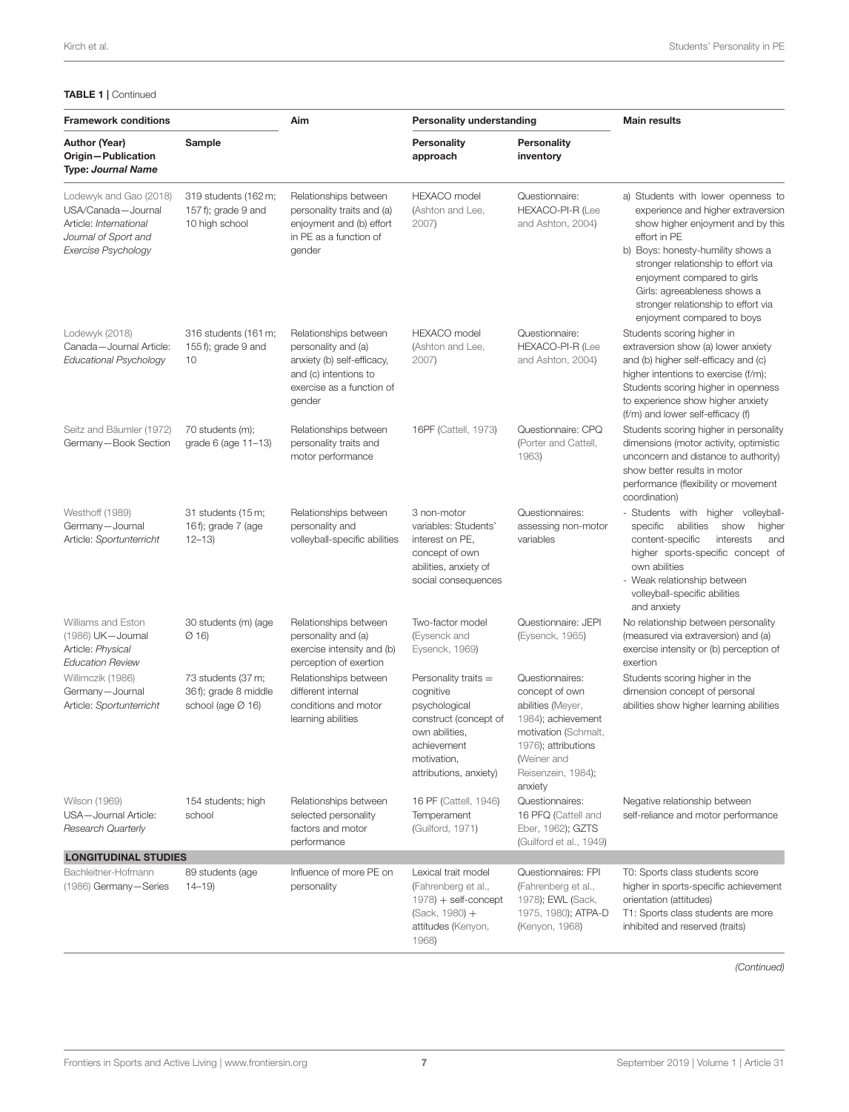| <b>Framework conditions</b>                                                                                           |                                                                  | Aim                                                                                                                                        | <b>Personality understanding</b>                                                                                                                      |                                                                                                                                                                             | <b>Main results</b>                                                                                                                                                                                                                                                                                                                           |
|-----------------------------------------------------------------------------------------------------------------------|------------------------------------------------------------------|--------------------------------------------------------------------------------------------------------------------------------------------|-------------------------------------------------------------------------------------------------------------------------------------------------------|-----------------------------------------------------------------------------------------------------------------------------------------------------------------------------|-----------------------------------------------------------------------------------------------------------------------------------------------------------------------------------------------------------------------------------------------------------------------------------------------------------------------------------------------|
| <b>Author (Year)</b><br>Origin-Publication<br><b>Type: Journal Name</b>                                               | Sample                                                           |                                                                                                                                            | <b>Personality</b><br>approach                                                                                                                        | <b>Personality</b><br>inventory                                                                                                                                             |                                                                                                                                                                                                                                                                                                                                               |
| Lodewyk and Gao (2018)<br>USA/Canada-Journal<br>Article: International<br>Journal of Sport and<br>Exercise Psychology | 319 students (162 m;<br>157 f); grade 9 and<br>10 high school    | Relationships between<br>personality traits and (a)<br>enjoyment and (b) effort<br>in PE as a function of<br>gender                        | <b>HEXACO</b> model<br>(Ashton and Lee,<br>2007)                                                                                                      | Questionnaire:<br>HEXACO-PI-R (Lee<br>and Ashton, 2004)                                                                                                                     | a) Students with lower openness to<br>experience and higher extraversion<br>show higher enjoyment and by this<br>effort in PE<br>b) Boys: honesty-humility shows a<br>stronger relationship to effort via<br>enjoyment compared to girls<br>Girls: agreeableness shows a<br>stronger relationship to effort via<br>enjoyment compared to boys |
| Lodewyk (2018)<br>Canada-Journal Article:<br><b>Educational Psychology</b>                                            | 316 students (161 m;<br>155 f); grade 9 and<br>10                | Relationships between<br>personality and (a)<br>anxiety (b) self-efficacy,<br>and (c) intentions to<br>exercise as a function of<br>gender | <b>HEXACO</b> model<br>(Ashton and Lee,<br>2007)                                                                                                      | Questionnaire:<br>HEXACO-PI-R (Lee<br>and Ashton, 2004)                                                                                                                     | Students scoring higher in<br>extraversion show (a) lower anxiety<br>and (b) higher self-efficacy and (c)<br>higher intentions to exercise (f/m);<br>Students scoring higher in openness<br>to experience show higher anxiety<br>(f/m) and lower self-efficacy (f)                                                                            |
| Seitz and Bäumler (1972)<br>Germany-Book Section                                                                      | 70 students (m);<br>grade 6 (age 11-13)                          | Relationships between<br>personality traits and<br>motor performance                                                                       | 16PF (Cattell, 1973)                                                                                                                                  | Questionnaire: CPQ<br>(Porter and Cattell,<br>1963)                                                                                                                         | Students scoring higher in personality<br>dimensions (motor activity, optimistic<br>unconcern and distance to authority)<br>show better results in motor<br>performance (flexibility or movement<br>coordination)                                                                                                                             |
| Westhoff (1989)<br>Germany-Journal<br>Article: Sportunterricht                                                        | 31 students (15 m;<br>16 $f$ ; grade 7 (age<br>$12 - 13$         | Relationships between<br>personality and<br>volleyball-specific abilities                                                                  | 3 non-motor<br>variables: Students'<br>interest on PE,<br>concept of own<br>abilities, anxiety of<br>social consequences                              | Questionnaires:<br>assessing non-motor<br>variables                                                                                                                         | - Students with higher volleyball-<br>specific<br>abilities<br>show<br>higher<br>content-specific<br>interests<br>and<br>higher sports-specific concept of<br>own abilities<br>- Weak relationship between<br>volleyball-specific abilities<br>and anxiety                                                                                    |
| Williams and Eston<br>(1986) UK-Journal<br>Article: Physical<br><b>Education Review</b>                               | 30 students (m) (age<br>$\varnothing$ 16)                        | Relationships between<br>personality and (a)<br>exercise intensity and (b)<br>perception of exertion                                       | Two-factor model<br>(Eysenck and<br>Eysenck, 1969)                                                                                                    | Questionnaire: JEPI<br>(Eysenck, 1965)                                                                                                                                      | No relationship between personality<br>(measured via extraversion) and (a)<br>exercise intensity or (b) perception of<br>exertion                                                                                                                                                                                                             |
| Willimczik (1986)<br>Germany-Journal<br>Article: Sportunterricht                                                      | 73 students (37 m;<br>36 f); grade 8 middle<br>school (age Ø 16) | Relationships between<br>different internal<br>conditions and motor<br>learning abilities                                                  | Personality traits =<br>cognitive<br>psychological<br>construct (concept of<br>own abilities,<br>achievement<br>motivation,<br>attributions, anxiety) | Questionnaires:<br>concept of own<br>abilities (Meyer,<br>1984); achievement<br>motivation (Schmalt,<br>1976); attributions<br>(Weiner and<br>Reisenzein, 1984);<br>anxiety | Students scoring higher in the<br>dimension concept of personal<br>abilities show higher learning abilities                                                                                                                                                                                                                                   |
| Wilson (1969)<br>USA-Journal Article:<br><b>Research Quarterly</b>                                                    | 154 students; high<br>school                                     | Relationships between<br>selected personality<br>factors and motor<br>performance                                                          | 16 PF (Cattell, 1946)<br>Temperament<br>(Guilford, 1971)                                                                                              | Questionnaires:<br>16 PFQ (Cattell and<br>Eber, 1962); GZTS<br>(Guilford et al., 1949)                                                                                      | Negative relationship between<br>self-reliance and motor performance                                                                                                                                                                                                                                                                          |
| <b>LONGITUDINAL STUDIES</b>                                                                                           |                                                                  |                                                                                                                                            |                                                                                                                                                       |                                                                                                                                                                             |                                                                                                                                                                                                                                                                                                                                               |
| Bachleitner-Hofmann<br>(1986) Germany-Series                                                                          | 89 students (age<br>$14 - 19$                                    | Influence of more PE on<br>personality                                                                                                     | Lexical trait model<br>(Fahrenberg et al.,<br>$1978$ ) + self-concept<br>$(Sack, 1980) +$<br>attitudes (Kenyon,<br>1968)                              | Questionnaires: FPI<br>(Fahrenberg et al.,<br>1978); EWL (Sack,<br>1975, 1980); ATPA-D<br>(Kenyon, 1968)                                                                    | T0: Sports class students score<br>higher in sports-specific achievement<br>orientation (attitudes)<br>T1: Sports class students are more<br>inhibited and reserved (traits)                                                                                                                                                                  |

(Continued)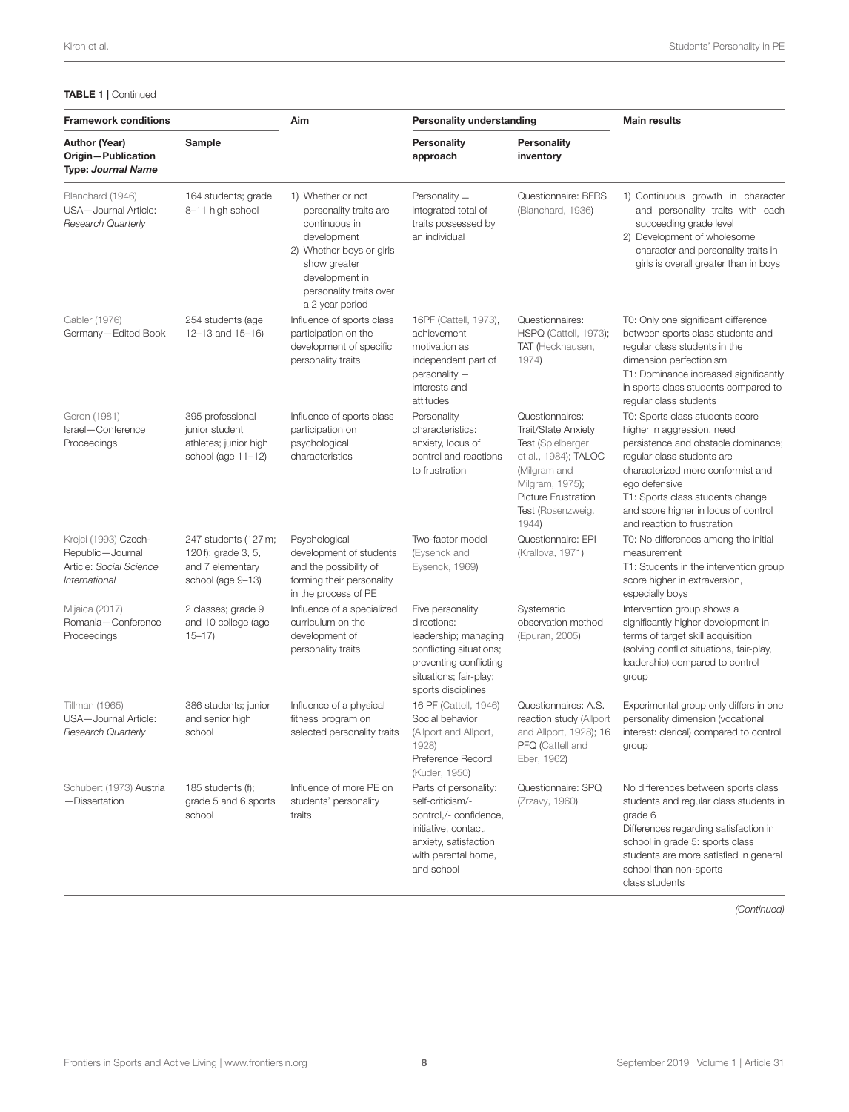#### TABLE 1 | Continued

| <b>Framework conditions</b><br><b>Author (Year)</b>                                  | Sample                                                                               | Aim                                                                                                                                                                                     | <b>Personality understanding</b><br><b>Personality</b><br><b>Personality</b>                                                                                 |                                                                                                                                                                                           | <b>Main results</b>                                                                                                                                                                                                                                                                                 |
|--------------------------------------------------------------------------------------|--------------------------------------------------------------------------------------|-----------------------------------------------------------------------------------------------------------------------------------------------------------------------------------------|--------------------------------------------------------------------------------------------------------------------------------------------------------------|-------------------------------------------------------------------------------------------------------------------------------------------------------------------------------------------|-----------------------------------------------------------------------------------------------------------------------------------------------------------------------------------------------------------------------------------------------------------------------------------------------------|
| Origin-Publication<br><b>Type: Journal Name</b>                                      |                                                                                      |                                                                                                                                                                                         | approach                                                                                                                                                     | inventory                                                                                                                                                                                 |                                                                                                                                                                                                                                                                                                     |
| Blanchard (1946)<br>USA-Journal Article:<br><b>Research Quarterly</b>                | 164 students; grade<br>8-11 high school                                              | 1) Whether or not<br>personality traits are<br>continuous in<br>development<br>2) Whether boys or girls<br>show greater<br>development in<br>personality traits over<br>a 2 year period | Personality $=$<br>integrated total of<br>traits possessed by<br>an individual                                                                               | Questionnaire: BFRS<br>(Blanchard, 1936)                                                                                                                                                  | 1) Continuous growth in character<br>and personality traits with each<br>succeeding grade level<br>2) Development of wholesome<br>character and personality traits in<br>girls is overall greater than in boys                                                                                      |
| Gabler (1976)<br>Germany-Edited Book                                                 | 254 students (age<br>12–13 and $15-16$ )                                             | Influence of sports class<br>participation on the<br>development of specific<br>personality traits                                                                                      | 16PF (Cattell, 1973),<br>achievement<br>motivation as<br>independent part of<br>personality $+$<br>interests and<br>attitudes                                | Questionnaires:<br>HSPQ (Cattell, 1973);<br>TAT (Heckhausen,<br>1974)                                                                                                                     | T0: Only one significant difference<br>between sports class students and<br>regular class students in the<br>dimension perfectionism<br>T1: Dominance increased significantly<br>in sports class students compared to<br>regular class students                                                     |
| Geron (1981)<br>Israel-Conference<br>Proceedings                                     | 395 professional<br>junior student<br>athletes; junior high<br>school (age $11-12$ ) | Influence of sports class<br>participation on<br>psychological<br>characteristics                                                                                                       | Personality<br>characteristics:<br>anxiety, locus of<br>control and reactions<br>to frustration                                                              | Questionnaires:<br>Trait/State Anxiety<br><b>Test (Spielberger</b><br>et al., 1984); TALOC<br>(Milgram and<br>Milgram, 1975);<br><b>Picture Frustration</b><br>Test (Rosenzweig,<br>1944) | T0: Sports class students score<br>higher in aggression, need<br>persistence and obstacle dominance;<br>regular class students are<br>characterized more conformist and<br>ego defensive<br>T1: Sports class students change<br>and score higher in locus of control<br>and reaction to frustration |
| Krejci (1993) Czech-<br>Republic-Journal<br>Article: Social Science<br>International | 247 students (127 m;<br>120 f); grade 3, 5,<br>and 7 elementary<br>school (age 9-13) | Psychological<br>development of students<br>and the possibility of<br>forming their personality<br>in the process of PE                                                                 | Two-factor model<br>(Eysenck and<br>Eysenck, 1969)                                                                                                           | Questionnaire: EPI<br>(Krallova, 1971)                                                                                                                                                    | T0: No differences among the initial<br>measurement<br>T1: Students in the intervention group<br>score higher in extraversion,<br>especially boys                                                                                                                                                   |
| Mijaica (2017)<br>Romania-Conference<br>Proceedings                                  | 2 classes; grade 9<br>and 10 college (age<br>$15 - 17$                               | Influence of a specialized<br>curriculum on the<br>development of<br>personality traits                                                                                                 | Five personality<br>directions:<br>leadership; managing<br>conflicting situations;<br>preventing conflicting<br>situations; fair-play;<br>sports disciplines | Systematic<br>observation method<br>(Epuran, 2005)                                                                                                                                        | Intervention group shows a<br>significantly higher development in<br>terms of target skill acquisition<br>(solving conflict situations, fair-play,<br>leadership) compared to control<br>group                                                                                                      |
| Tillman (1965)<br>USA-Journal Article:<br><b>Research Quarterly</b>                  | 386 students; junior<br>and senior high<br>school                                    | Influence of a physical<br>fitness program on<br>selected personality traits                                                                                                            | 16 PF (Cattell, 1946)<br>Social behavior<br>(Allport and Allport,<br>1928)<br>Preference Record<br>(Kuder, 1950)                                             | Questionnaires: A.S.<br>reaction study (Allport<br>and Allport, 1928); 16<br>PFQ (Cattell and<br>Eber, 1962)                                                                              | Experimental group only differs in one<br>personality dimension (vocational<br>interest: clerical) compared to control<br>group                                                                                                                                                                     |
| Schubert (1973) Austria<br>-Dissertation                                             | 185 students (f);<br>grade 5 and 6 sports<br>school                                  | Influence of more PE on<br>students' personality<br>traits                                                                                                                              | Parts of personality:<br>self-criticism/-<br>control,/- confidence,<br>initiative, contact,<br>anxiety, satisfaction<br>with parental home,<br>and school    | Questionnaire: SPQ<br>(Zrzavy, 1960)                                                                                                                                                      | No differences between sports class<br>students and regular class students in<br>grade 6<br>Differences regarding satisfaction in<br>school in grade 5: sports class<br>students are more satisfied in general<br>school than non-sports<br>class students                                          |

(Continued)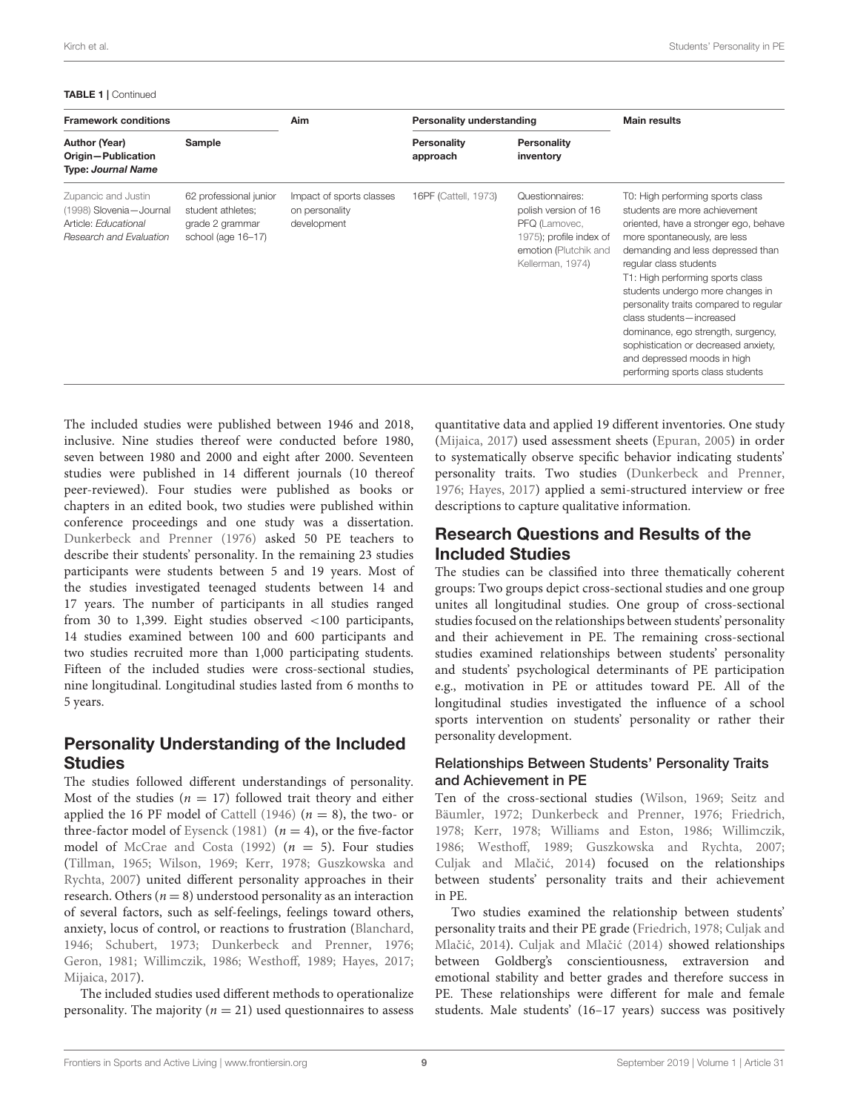TABLE 1 | Continued

| <b>Framework conditions</b>                                                                      |                                                                                      | Aim                                                       | Personality understanding   |                                                                                                                                  | <b>Main results</b>                                                                                                                                                                                                                                                                                                                                                                                                                                                                                      |
|--------------------------------------------------------------------------------------------------|--------------------------------------------------------------------------------------|-----------------------------------------------------------|-----------------------------|----------------------------------------------------------------------------------------------------------------------------------|----------------------------------------------------------------------------------------------------------------------------------------------------------------------------------------------------------------------------------------------------------------------------------------------------------------------------------------------------------------------------------------------------------------------------------------------------------------------------------------------------------|
| Author (Year)<br>Origin-Publication<br><b>Type: Journal Name</b>                                 | Sample                                                                               |                                                           | Personality<br>approach     | Personality<br>inventory                                                                                                         |                                                                                                                                                                                                                                                                                                                                                                                                                                                                                                          |
| Zupancic and Justin<br>1998) Slovenia-Journal<br>Article: Educational<br>Research and Evaluation | 62 professional junior<br>student athletes;<br>grade 2 grammar<br>school (age 16-17) | Impact of sports classes<br>on personality<br>development | <b>16PF (Cattell, 1973)</b> | Questionnaires:<br>polish version of 16<br>PFQ (Lamovec,<br>1975); profile index of<br>emotion (Plutchik and<br>Kellerman, 1974) | T0: High performing sports class<br>students are more achievement<br>oriented, have a stronger ego, behave<br>more spontaneously, are less<br>demanding and less depressed than<br>regular class students<br>T1: High performing sports class<br>students undergo more changes in<br>personality traits compared to regular<br>class students-increased<br>dominance, ego strength, surgency,<br>sophistication or decreased anxiety,<br>and depressed moods in high<br>performing sports class students |

The included studies were published between 1946 and 2018, inclusive. Nine studies thereof were conducted before 1980, seven between 1980 and 2000 and eight after 2000. Seventeen studies were published in 14 different journals (10 thereof peer-reviewed). Four studies were published as books or chapters in an edited book, two studies were published within conference proceedings and one study was a dissertation. [Dunkerbeck and Prenner \(1976\)](#page-16-17) asked 50 PE teachers to describe their students' personality. In the remaining 23 studies participants were students between 5 and 19 years. Most of the studies investigated teenaged students between 14 and 17 years. The number of participants in all studies ranged from 30 to 1,399. Eight studies observed <100 participants, 14 studies examined between 100 and 600 participants and two studies recruited more than 1,000 participating students. Fifteen of the included studies were cross-sectional studies, nine longitudinal. Longitudinal studies lasted from 6 months to 5 years.

# Personality Understanding of the Included Studies

The studies followed different understandings of personality. Most of the studies ( $n = 17$ ) followed trait theory and either applied the 16 PF model of [Cattell \(1946\)](#page-16-6) ( $n = 8$ ), the two- or three-factor model of [Eysenck \(1981\)](#page-16-33)  $(n = 4)$ , or the five-factor model of [McCrae and Costa \(1992\)](#page-17-23)  $(n = 5)$ . Four studies [\(Tillman, 1965;](#page-18-20) [Wilson, 1969;](#page-19-2) [Kerr, 1978;](#page-17-15) Guszkowska and Rychta, [2007\)](#page-17-21) united different personality approaches in their research. Others ( $n = 8$ ) understood personality as an interaction of several factors, such as self-feelings, feelings toward others, anxiety, locus of control, or reactions to frustration [\(Blanchard,](#page-16-21) [1946;](#page-16-21) [Schubert, 1973;](#page-18-29) [Dunkerbeck and Prenner, 1976;](#page-16-17) [Geron, 1981;](#page-16-31) [Willimczik, 1986;](#page-19-0) [Westhoff, 1989;](#page-18-19) [Hayes, 2017;](#page-17-16) [Mijaica, 2017\)](#page-17-32).

The included studies used different methods to operationalize personality. The majority ( $n = 21$ ) used questionnaires to assess quantitative data and applied 19 different inventories. One study [\(Mijaica, 2017\)](#page-17-32) used assessment sheets [\(Epuran, 2005\)](#page-16-32) in order to systematically observe specific behavior indicating students' personality traits. Two studies [\(Dunkerbeck and Prenner,](#page-16-17) [1976;](#page-16-17) [Hayes, 2017\)](#page-17-16) applied a semi-structured interview or free descriptions to capture qualitative information.

# Research Questions and Results of the Included Studies

The studies can be classified into three thematically coherent groups: Two groups depict cross-sectional studies and one group unites all longitudinal studies. One group of cross-sectional studies focused on the relationships between students' personality and their achievement in PE. The remaining cross-sectional studies examined relationships between students' personality and students' psychological determinants of PE participation e.g., motivation in PE or attitudes toward PE. All of the longitudinal studies investigated the influence of a school sports intervention on students' personality or rather their personality development.

#### Relationships Between Students' Personality Traits and Achievement in PE

Ten of the cross-sectional studies [\(Wilson, 1969;](#page-19-2) Seitz and Bäumler, [1972;](#page-18-18) [Dunkerbeck and Prenner, 1976;](#page-16-17) [Friedrich,](#page-16-19) [1978;](#page-16-19) [Kerr, 1978;](#page-17-15) [Williams and Eston, 1986;](#page-19-1) [Willimczik,](#page-19-0) [1986;](#page-19-0) [Westhoff, 1989;](#page-18-19) [Guszkowska and Rychta, 2007;](#page-17-21) Culjak and Mlačić, [2014](#page-16-22)) focused on the relationships between students' personality traits and their achievement in PE.

Two studies examined the relationship between students' personality traits and their PE grade [\(Friedrich, 1978;](#page-16-19) Culjak and Mlačić, [2014](#page-16-22)). Culjak and Mlačić [\(2014\)](#page-16-22) showed relationships between Goldberg's conscientiousness, extraversion and emotional stability and better grades and therefore success in PE. These relationships were different for male and female students. Male students' (16–17 years) success was positively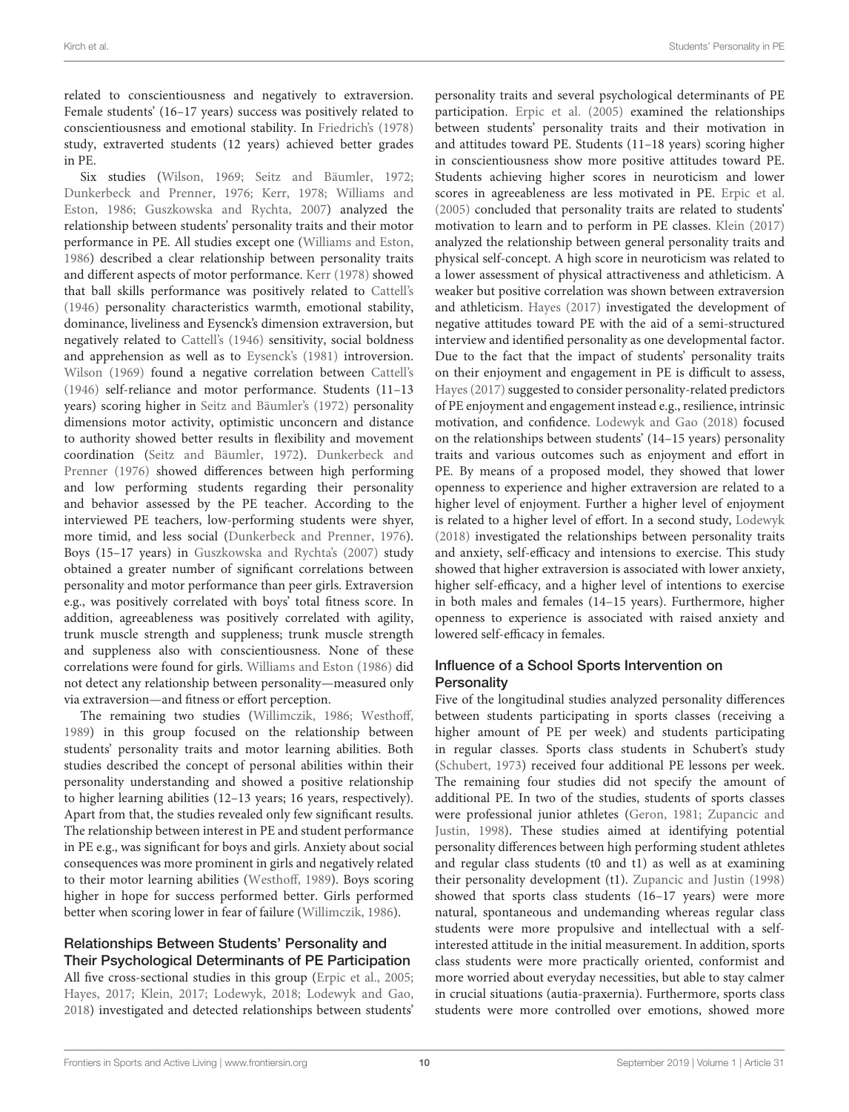related to conscientiousness and negatively to extraversion. Female students' (16–17 years) success was positively related to conscientiousness and emotional stability. In [Friedrich's \(1978\)](#page-16-19) study, extraverted students (12 years) achieved better grades in PE.

Six studies [\(Wilson, 1969;](#page-19-2) [Seitz and Bäumler, 1972;](#page-18-18) [Dunkerbeck and Prenner, 1976;](#page-16-17) [Kerr, 1978;](#page-17-15) Williams and Eston, [1986;](#page-19-1) [Guszkowska and Rychta, 2007\)](#page-17-21) analyzed the relationship between students' personality traits and their motor performance in PE. All studies except one [\(Williams and Eston,](#page-19-1) [1986\)](#page-19-1) described a clear relationship between personality traits and different aspects of motor performance. [Kerr \(1978\)](#page-17-15) showed that ball skills performance was positively related to [Cattell's](#page-16-6) [\(1946\)](#page-16-6) personality characteristics warmth, emotional stability, dominance, liveliness and Eysenck's dimension extraversion, but negatively related to [Cattell's \(1946\)](#page-16-6) sensitivity, social boldness and apprehension as well as to [Eysenck's \(1981\)](#page-16-33) introversion. [Wilson \(1969\)](#page-19-2) found a negative correlation between [Cattell's](#page-16-6) [\(1946\)](#page-16-6) self-reliance and motor performance. Students (11–13 years) scoring higher in [Seitz and Bäumler's \(1972\)](#page-18-18) personality dimensions motor activity, optimistic unconcern and distance to authority showed better results in flexibility and movement coordination [\(Seitz and Bäumler, 1972\)](#page-18-18). Dunkerbeck and Prenner [\(1976\)](#page-16-17) showed differences between high performing and low performing students regarding their personality and behavior assessed by the PE teacher. According to the interviewed PE teachers, low-performing students were shyer, more timid, and less social [\(Dunkerbeck and Prenner, 1976\)](#page-16-17). Boys (15–17 years) in [Guszkowska and Rychta's \(2007\)](#page-17-21) study obtained a greater number of significant correlations between personality and motor performance than peer girls. Extraversion e.g., was positively correlated with boys' total fitness score. In addition, agreeableness was positively correlated with agility, trunk muscle strength and suppleness; trunk muscle strength and suppleness also with conscientiousness. None of these correlations were found for girls. [Williams and Eston \(1986\)](#page-19-1) did not detect any relationship between personality—measured only via extraversion—and fitness or effort perception.

The remaining two studies [\(Willimczik, 1986;](#page-19-0) [Westhoff,](#page-18-19) [1989\)](#page-18-19) in this group focused on the relationship between students' personality traits and motor learning abilities. Both studies described the concept of personal abilities within their personality understanding and showed a positive relationship to higher learning abilities (12–13 years; 16 years, respectively). Apart from that, the studies revealed only few significant results. The relationship between interest in PE and student performance in PE e.g., was significant for boys and girls. Anxiety about social consequences was more prominent in girls and negatively related to their motor learning abilities [\(Westhoff, 1989\)](#page-18-19). Boys scoring higher in hope for success performed better. Girls performed better when scoring lower in fear of failure [\(Willimczik, 1986\)](#page-19-0).

#### Relationships Between Students' Personality and Their Psychological Determinants of PE Participation

All five cross-sectional studies in this group [\(Erpic et al., 2005;](#page-16-23) [Hayes, 2017;](#page-17-16) [Klein, 2017;](#page-17-14) [Lodewyk, 2018;](#page-17-17) [Lodewyk and Gao,](#page-17-18) [2018\)](#page-17-18) investigated and detected relationships between students'

personality traits and several psychological determinants of PE participation. [Erpic et al. \(2005\)](#page-16-23) examined the relationships between students' personality traits and their motivation in and attitudes toward PE. Students (11–18 years) scoring higher in conscientiousness show more positive attitudes toward PE. Students achieving higher scores in neuroticism and lower scores in agreeableness are less motivated in PE. [Erpic et al.](#page-16-23) [\(2005\)](#page-16-23) concluded that personality traits are related to students' motivation to learn and to perform in PE classes. [Klein \(2017\)](#page-17-14) analyzed the relationship between general personality traits and physical self-concept. A high score in neuroticism was related to a lower assessment of physical attractiveness and athleticism. A weaker but positive correlation was shown between extraversion and athleticism. [Hayes \(2017\)](#page-17-16) investigated the development of negative attitudes toward PE with the aid of a semi-structured interview and identified personality as one developmental factor. Due to the fact that the impact of students' personality traits on their enjoyment and engagement in PE is difficult to assess, [Hayes \(2017\)](#page-17-16) suggested to consider personality-related predictors of PE enjoyment and engagement instead e.g., resilience, intrinsic motivation, and confidence. [Lodewyk and Gao \(2018\)](#page-17-18) focused on the relationships between students' (14–15 years) personality traits and various outcomes such as enjoyment and effort in PE. By means of a proposed model, they showed that lower openness to experience and higher extraversion are related to a higher level of enjoyment. Further a higher level of enjoyment is related to a higher level of effort. In a second study, [Lodewyk](#page-17-17) [\(2018\)](#page-17-17) investigated the relationships between personality traits and anxiety, self-efficacy and intensions to exercise. This study showed that higher extraversion is associated with lower anxiety, higher self-efficacy, and a higher level of intentions to exercise in both males and females (14–15 years). Furthermore, higher openness to experience is associated with raised anxiety and lowered self-efficacy in females.

#### Influence of a School Sports Intervention on **Personality**

Five of the longitudinal studies analyzed personality differences between students participating in sports classes (receiving a higher amount of PE per week) and students participating in regular classes. Sports class students in Schubert's study [\(Schubert, 1973\)](#page-18-29) received four additional PE lessons per week. The remaining four studies did not specify the amount of additional PE. In two of the studies, students of sports classes were professional junior athletes [\(Geron, 1981;](#page-16-31) Zupancic and Justin, [1998\)](#page-19-6). These studies aimed at identifying potential personality differences between high performing student athletes and regular class students (t0 and t1) as well as at examining their personality development (t1). [Zupancic and Justin \(1998\)](#page-19-6) showed that sports class students (16–17 years) were more natural, spontaneous and undemanding whereas regular class students were more propulsive and intellectual with a selfinterested attitude in the initial measurement. In addition, sports class students were more practically oriented, conformist and more worried about everyday necessities, but able to stay calmer in crucial situations (autia-praxernia). Furthermore, sports class students were more controlled over emotions, showed more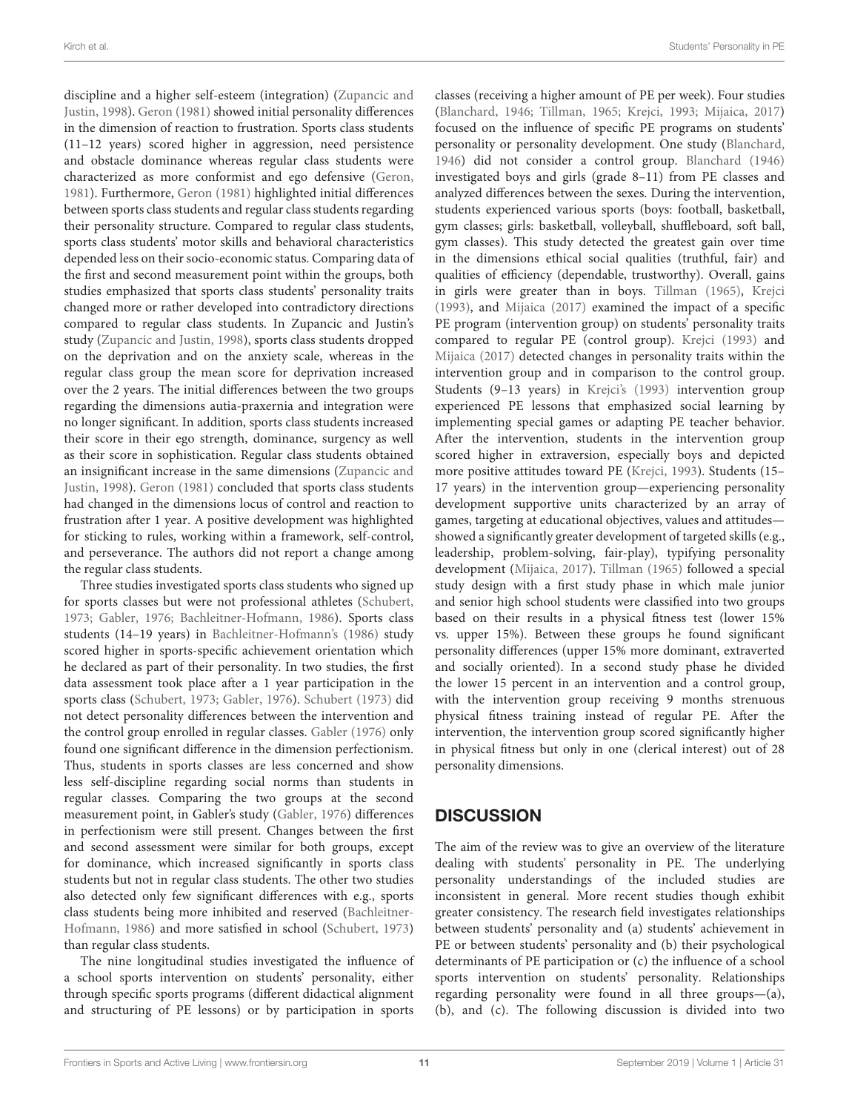discipline and a higher self-esteem (integration) (Zupancic and Justin, [1998\)](#page-19-6). [Geron \(1981\)](#page-16-31) showed initial personality differences in the dimension of reaction to frustration. Sports class students (11–12 years) scored higher in aggression, need persistence and obstacle dominance whereas regular class students were characterized as more conformist and ego defensive [\(Geron,](#page-16-31) [1981\)](#page-16-31). Furthermore, [Geron \(1981\)](#page-16-31) highlighted initial differences between sports class students and regular class students regarding their personality structure. Compared to regular class students, sports class students' motor skills and behavioral characteristics depended less on their socio-economic status. Comparing data of the first and second measurement point within the groups, both studies emphasized that sports class students' personality traits changed more or rather developed into contradictory directions compared to regular class students. In Zupancic and Justin's study [\(Zupancic and Justin, 1998\)](#page-19-6), sports class students dropped on the deprivation and on the anxiety scale, whereas in the regular class group the mean score for deprivation increased over the 2 years. The initial differences between the two groups regarding the dimensions autia-praxernia and integration were no longer significant. In addition, sports class students increased their score in their ego strength, dominance, surgency as well as their score in sophistication. Regular class students obtained an insignificant increase in the same dimensions (Zupancic and Justin, [1998\)](#page-19-6). [Geron \(1981\)](#page-16-31) concluded that sports class students had changed in the dimensions locus of control and reaction to frustration after 1 year. A positive development was highlighted for sticking to rules, working within a framework, self-control, and perseverance. The authors did not report a change among the regular class students.

Three studies investigated sports class students who signed up for sports classes but were not professional athletes [\(Schubert,](#page-18-29) [1973;](#page-18-29) [Gabler, 1976;](#page-16-18) [Bachleitner-Hofmann, 1986\)](#page-16-20). Sports class students (14–19 years) in [Bachleitner-Hofmann's \(1986\)](#page-16-20) study scored higher in sports-specific achievement orientation which he declared as part of their personality. In two studies, the first data assessment took place after a 1 year participation in the sports class [\(Schubert, 1973;](#page-18-29) [Gabler, 1976\)](#page-16-18). [Schubert \(1973\)](#page-18-29) did not detect personality differences between the intervention and the control group enrolled in regular classes. [Gabler \(1976\)](#page-16-18) only found one significant difference in the dimension perfectionism. Thus, students in sports classes are less concerned and show less self-discipline regarding social norms than students in regular classes. Comparing the two groups at the second measurement point, in Gabler's study [\(Gabler, 1976\)](#page-16-18) differences in perfectionism were still present. Changes between the first and second assessment were similar for both groups, except for dominance, which increased significantly in sports class students but not in regular class students. The other two studies also detected only few significant differences with e.g., sports class students being more inhibited and reserved (Bachleitner-Hofmann, [1986\)](#page-16-20) and more satisfied in school [\(Schubert, 1973\)](#page-18-29) than regular class students.

The nine longitudinal studies investigated the influence of a school sports intervention on students' personality, either through specific sports programs (different didactical alignment and structuring of PE lessons) or by participation in sports classes (receiving a higher amount of PE per week). Four studies [\(Blanchard, 1946;](#page-16-21) [Tillman, 1965;](#page-18-20) [Krejci, 1993;](#page-17-30) [Mijaica, 2017\)](#page-17-32) focused on the influence of specific PE programs on students' personality or personality development. One study [\(Blanchard,](#page-16-21) [1946\)](#page-16-21) did not consider a control group. [Blanchard \(1946\)](#page-16-21) investigated boys and girls (grade 8–11) from PE classes and analyzed differences between the sexes. During the intervention, students experienced various sports (boys: football, basketball, gym classes; girls: basketball, volleyball, shuffleboard, soft ball, gym classes). This study detected the greatest gain over time in the dimensions ethical social qualities (truthful, fair) and qualities of efficiency (dependable, trustworthy). Overall, gains in girls were greater than in boys. [Tillman \(1965\)](#page-18-20), [Krejci](#page-17-30) [\(1993\)](#page-17-30), and [Mijaica \(2017\)](#page-17-32) examined the impact of a specific PE program (intervention group) on students' personality traits compared to regular PE (control group). [Krejci \(1993\)](#page-17-30) and [Mijaica \(2017\)](#page-17-32) detected changes in personality traits within the intervention group and in comparison to the control group. Students (9-13 years) in [Krejci's \(1993\)](#page-17-30) intervention group experienced PE lessons that emphasized social learning by implementing special games or adapting PE teacher behavior. After the intervention, students in the intervention group scored higher in extraversion, especially boys and depicted more positive attitudes toward PE [\(Krejci, 1993\)](#page-17-30). Students (15– 17 years) in the intervention group—experiencing personality development supportive units characterized by an array of games, targeting at educational objectives, values and attitudes showed a significantly greater development of targeted skills (e.g., leadership, problem-solving, fair-play), typifying personality development [\(Mijaica, 2017\)](#page-17-32). [Tillman \(1965\)](#page-18-20) followed a special study design with a first study phase in which male junior and senior high school students were classified into two groups based on their results in a physical fitness test (lower 15% vs. upper 15%). Between these groups he found significant personality differences (upper 15% more dominant, extraverted and socially oriented). In a second study phase he divided the lower 15 percent in an intervention and a control group, with the intervention group receiving 9 months strenuous physical fitness training instead of regular PE. After the intervention, the intervention group scored significantly higher in physical fitness but only in one (clerical interest) out of 28 personality dimensions.

# **DISCUSSION**

The aim of the review was to give an overview of the literature dealing with students' personality in PE. The underlying personality understandings of the included studies are inconsistent in general. More recent studies though exhibit greater consistency. The research field investigates relationships between students' personality and (a) students' achievement in PE or between students' personality and (b) their psychological determinants of PE participation or (c) the influence of a school sports intervention on students' personality. Relationships regarding personality were found in all three groups—(a), (b), and (c). The following discussion is divided into two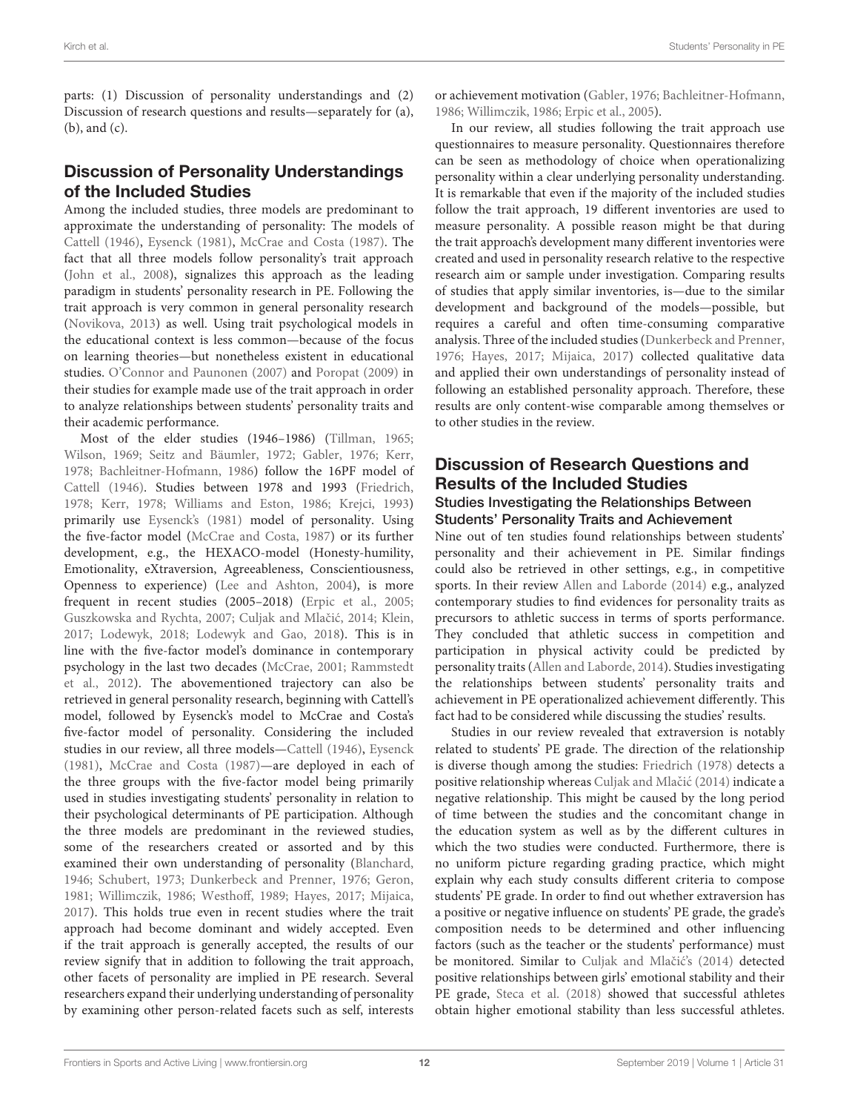parts: (1) Discussion of personality understandings and (2) Discussion of research questions and results—separately for (a), (b), and (c).

# Discussion of Personality Understandings of the Included Studies

Among the included studies, three models are predominant to approximate the understanding of personality: The models of [Cattell \(1946\)](#page-16-6), [Eysenck \(1981\)](#page-16-33), [McCrae and Costa \(1987\)](#page-17-9). The fact that all three models follow personality's trait approach [\(John et al., 2008\)](#page-17-35), signalizes this approach as the leading paradigm in students' personality research in PE. Following the trait approach is very common in general personality research [\(Novikova, 2013\)](#page-17-36) as well. Using trait psychological models in the educational context is less common—because of the focus on learning theories—but nonetheless existent in educational studies. [O'Connor and Paunonen \(2007\)](#page-18-5) and [Poropat \(2009\)](#page-18-6) in their studies for example made use of the trait approach in order to analyze relationships between students' personality traits and their academic performance.

Most of the elder studies (1946–1986) [\(Tillman, 1965;](#page-18-20) [Wilson, 1969;](#page-19-2) [Seitz and Bäumler, 1972;](#page-18-18) [Gabler, 1976;](#page-16-18) [Kerr,](#page-17-15) [1978;](#page-17-15) [Bachleitner-Hofmann, 1986\)](#page-16-20) follow the 16PF model of [Cattell \(1946\)](#page-16-6). Studies between 1978 and 1993 [\(Friedrich,](#page-16-19) [1978;](#page-16-19) [Kerr, 1978;](#page-17-15) [Williams and Eston, 1986;](#page-19-1) [Krejci, 1993\)](#page-17-30) primarily use [Eysenck's \(1981\)](#page-16-33) model of personality. Using the five-factor model [\(McCrae and Costa, 1987\)](#page-17-9) or its further development, e.g., the HEXACO-model (Honesty-humility, Emotionality, eXtraversion, Agreeableness, Conscientiousness, Openness to experience) [\(Lee and Ashton, 2004\)](#page-17-24), is more frequent in recent studies (2005–2018) [\(Erpic et al., 2005;](#page-16-23) [Guszkowska and Rychta, 2007;](#page-17-21) Culjak and Mlačić, [2014;](#page-16-22) [Klein,](#page-17-14) [2017;](#page-17-14) [Lodewyk, 2018;](#page-17-17) [Lodewyk and Gao, 2018\)](#page-17-18). This is in line with the five-factor model's dominance in contemporary psychology in the last two decades [\(McCrae, 2001;](#page-17-37) Rammstedt et al., [2012\)](#page-18-31). The abovementioned trajectory can also be retrieved in general personality research, beginning with Cattell's model, followed by Eysenck's model to McCrae and Costa's five-factor model of personality. Considering the included studies in our review, all three models[—Cattell \(1946\)](#page-16-6), [Eysenck](#page-16-33) [\(1981\)](#page-16-33), [McCrae and Costa \(1987\)](#page-17-9)—are deployed in each of the three groups with the five-factor model being primarily used in studies investigating students' personality in relation to their psychological determinants of PE participation. Although the three models are predominant in the reviewed studies, some of the researchers created or assorted and by this examined their own understanding of personality [\(Blanchard,](#page-16-21) [1946;](#page-16-21) [Schubert, 1973;](#page-18-29) [Dunkerbeck and Prenner, 1976;](#page-16-17) [Geron,](#page-16-31) [1981;](#page-16-31) [Willimczik, 1986;](#page-19-0) [Westhoff, 1989;](#page-18-19) [Hayes, 2017;](#page-17-16) [Mijaica,](#page-17-32) [2017\)](#page-17-32). This holds true even in recent studies where the trait approach had become dominant and widely accepted. Even if the trait approach is generally accepted, the results of our review signify that in addition to following the trait approach, other facets of personality are implied in PE research. Several researchers expand their underlying understanding of personality by examining other person-related facets such as self, interests or achievement motivation [\(Gabler, 1976;](#page-16-18) [Bachleitner-Hofmann,](#page-16-20) [1986;](#page-16-20) [Willimczik, 1986;](#page-19-0) [Erpic et al., 2005\)](#page-16-23).

In our review, all studies following the trait approach use questionnaires to measure personality. Questionnaires therefore can be seen as methodology of choice when operationalizing personality within a clear underlying personality understanding. It is remarkable that even if the majority of the included studies follow the trait approach, 19 different inventories are used to measure personality. A possible reason might be that during the trait approach's development many different inventories were created and used in personality research relative to the respective research aim or sample under investigation. Comparing results of studies that apply similar inventories, is—due to the similar development and background of the models—possible, but requires a careful and often time-consuming comparative analysis. Three of the included studies [\(Dunkerbeck and Prenner,](#page-16-17) [1976;](#page-16-17) [Hayes, 2017;](#page-17-16) [Mijaica, 2017\)](#page-17-32) collected qualitative data and applied their own understandings of personality instead of following an established personality approach. Therefore, these results are only content-wise comparable among themselves or to other studies in the review.

#### Discussion of Research Questions and Results of the Included Studies Studies Investigating the Relationships Between Students' Personality Traits and Achievement

Nine out of ten studies found relationships between students' personality and their achievement in PE. Similar findings could also be retrieved in other settings, e.g., in competitive sports. In their review [Allen and Laborde \(2014\)](#page-15-3) e.g., analyzed contemporary studies to find evidences for personality traits as precursors to athletic success in terms of sports performance. They concluded that athletic success in competition and participation in physical activity could be predicted by personality traits [\(Allen and Laborde, 2014\)](#page-15-3). Studies investigating the relationships between students' personality traits and achievement in PE operationalized achievement differently. This fact had to be considered while discussing the studies' results.

Studies in our review revealed that extraversion is notably related to students' PE grade. The direction of the relationship is diverse though among the studies: [Friedrich \(1978\)](#page-16-19) detects a positive relationship whereas Culjak and Mlačić [\(2014\)](#page-16-22) indicate a negative relationship. This might be caused by the long period of time between the studies and the concomitant change in the education system as well as by the different cultures in which the two studies were conducted. Furthermore, there is no uniform picture regarding grading practice, which might explain why each study consults different criteria to compose students' PE grade. In order to find out whether extraversion has a positive or negative influence on students' PE grade, the grade's composition needs to be determined and other influencing factors (such as the teacher or the students' performance) must be monitored. Similar to Culjak and Mlačić's [\(2014\)](#page-16-22) detected positive relationships between girls' emotional stability and their PE grade, [Steca et al. \(2018\)](#page-18-32) showed that successful athletes obtain higher emotional stability than less successful athletes.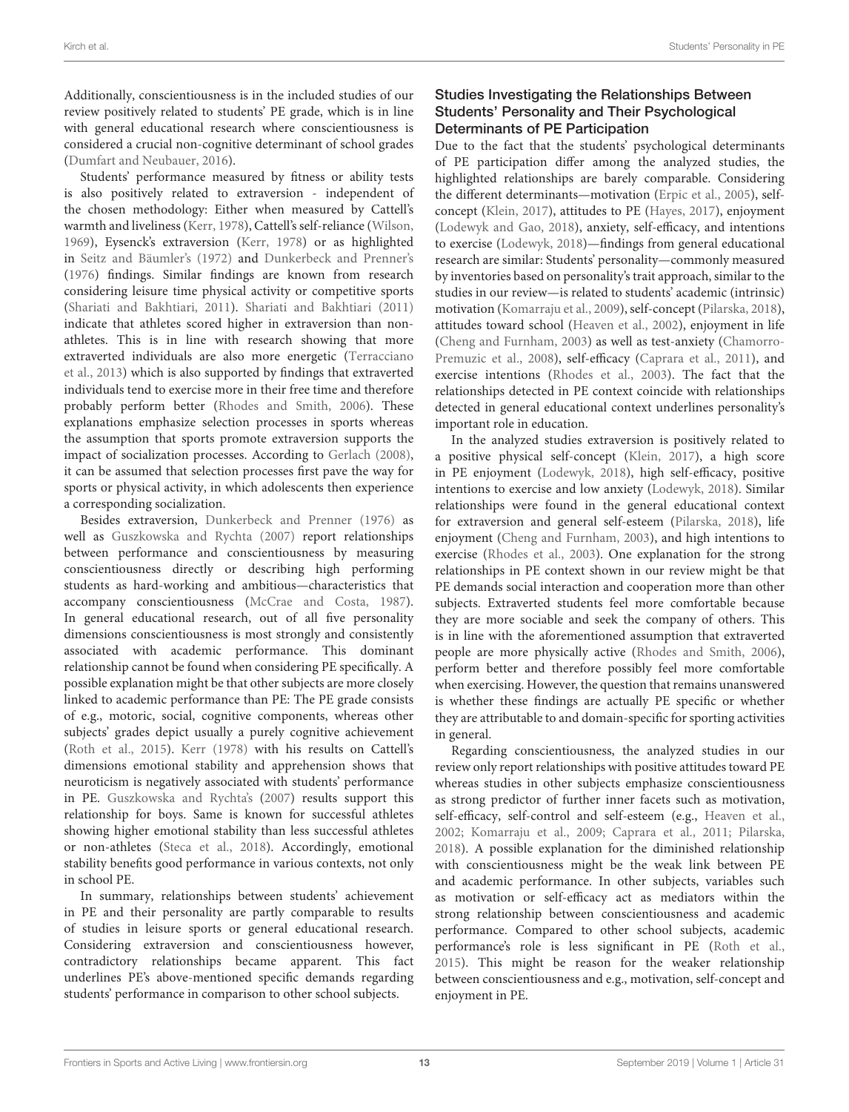Additionally, conscientiousness is in the included studies of our review positively related to students' PE grade, which is in line with general educational research where conscientiousness is considered a crucial non-cognitive determinant of school grades [\(Dumfart and Neubauer, 2016\)](#page-16-34).

Students' performance measured by fitness or ability tests is also positively related to extraversion - independent of the chosen methodology: Either when measured by Cattell's warmth and liveliness [\(Kerr, 1978\)](#page-17-15), Cattell's self-reliance [\(Wilson,](#page-19-2) [1969\)](#page-19-2), Eysenck's extraversion [\(Kerr, 1978\)](#page-17-15) or as highlighted in [Seitz and Bäumler's \(1972\)](#page-18-18) and [Dunkerbeck and Prenner's](#page-16-17) [\(1976\)](#page-16-17) findings. Similar findings are known from research considering leisure time physical activity or competitive sports [\(Shariati and Bakhtiari, 2011\)](#page-18-33). [Shariati and Bakhtiari \(2011\)](#page-18-33) indicate that athletes scored higher in extraversion than nonathletes. This is in line with research showing that more extraverted individuals are also more energetic (Terracciano et al., [2013\)](#page-18-34) which is also supported by findings that extraverted individuals tend to exercise more in their free time and therefore probably perform better [\(Rhodes and Smith, 2006\)](#page-18-35). These explanations emphasize selection processes in sports whereas the assumption that sports promote extraversion supports the impact of socialization processes. According to [Gerlach \(2008\)](#page-16-35), it can be assumed that selection processes first pave the way for sports or physical activity, in which adolescents then experience a corresponding socialization.

Besides extraversion, [Dunkerbeck and Prenner \(1976\)](#page-16-17) as well as [Guszkowska and Rychta \(2007\)](#page-17-21) report relationships between performance and conscientiousness by measuring conscientiousness directly or describing high performing students as hard-working and ambitious—characteristics that accompany conscientiousness [\(McCrae and Costa, 1987\)](#page-17-9). In general educational research, out of all five personality dimensions conscientiousness is most strongly and consistently associated with academic performance. This dominant relationship cannot be found when considering PE specifically. A possible explanation might be that other subjects are more closely linked to academic performance than PE: The PE grade consists of e.g., motoric, social, cognitive components, whereas other subjects' grades depict usually a purely cognitive achievement [\(Roth et al., 2015\)](#page-18-36). [Kerr \(1978\)](#page-17-15) with his results on Cattell's dimensions emotional stability and apprehension shows that neuroticism is negatively associated with students' performance in PE. [Guszkowska and Rychta's](#page-17-21) [\(2007\)](#page-17-21) results support this relationship for boys. Same is known for successful athletes showing higher emotional stability than less successful athletes or non-athletes [\(Steca et al., 2018\)](#page-18-32). Accordingly, emotional stability benefits good performance in various contexts, not only in school PE.

In summary, relationships between students' achievement in PE and their personality are partly comparable to results of studies in leisure sports or general educational research. Considering extraversion and conscientiousness however, contradictory relationships became apparent. This fact underlines PE's above-mentioned specific demands regarding students' performance in comparison to other school subjects.

#### Studies Investigating the Relationships Between Students' Personality and Their Psychological Determinants of PE Participation

Due to the fact that the students' psychological determinants of PE participation differ among the analyzed studies, the highlighted relationships are barely comparable. Considering the different determinants—motivation [\(Erpic et al., 2005\)](#page-16-23), selfconcept [\(Klein, 2017\)](#page-17-14), attitudes to PE [\(Hayes, 2017\)](#page-17-16), enjoyment [\(Lodewyk and Gao, 2018\)](#page-17-18), anxiety, self-efficacy, and intentions to exercise [\(Lodewyk, 2018\)](#page-17-17)—findings from general educational research are similar: Students' personality—commonly measured by inventories based on personality's trait approach, similar to the studies in our review—is related to students' academic (intrinsic) motivation [\(Komarraju et al., 2009\)](#page-17-38), self-concept [\(Pilarska, 2018\)](#page-18-37), attitudes toward school [\(Heaven et al., 2002\)](#page-17-39), enjoyment in life [\(Cheng and Furnham, 2003\)](#page-16-36) as well as test-anxiety (Chamorro-Premuzic et al., [2008\)](#page-16-37), self-efficacy [\(Caprara et al., 2011\)](#page-16-38), and exercise intentions [\(Rhodes et al., 2003\)](#page-18-38). The fact that the relationships detected in PE context coincide with relationships detected in general educational context underlines personality's important role in education.

In the analyzed studies extraversion is positively related to a positive physical self-concept [\(Klein, 2017\)](#page-17-14), a high score in PE enjoyment [\(Lodewyk, 2018\)](#page-17-17), high self-efficacy, positive intentions to exercise and low anxiety [\(Lodewyk, 2018\)](#page-17-17). Similar relationships were found in the general educational context for extraversion and general self-esteem [\(Pilarska, 2018\)](#page-18-37), life enjoyment [\(Cheng and Furnham, 2003\)](#page-16-36), and high intentions to exercise [\(Rhodes et al., 2003\)](#page-18-38). One explanation for the strong relationships in PE context shown in our review might be that PE demands social interaction and cooperation more than other subjects. Extraverted students feel more comfortable because they are more sociable and seek the company of others. This is in line with the aforementioned assumption that extraverted people are more physically active [\(Rhodes and Smith, 2006\)](#page-18-35), perform better and therefore possibly feel more comfortable when exercising. However, the question that remains unanswered is whether these findings are actually PE specific or whether they are attributable to and domain-specific for sporting activities in general.

Regarding conscientiousness, the analyzed studies in our review only report relationships with positive attitudes toward PE whereas studies in other subjects emphasize conscientiousness as strong predictor of further inner facets such as motivation, self-efficacy, self-control and self-esteem (e.g., [Heaven et al.,](#page-17-39) [2002;](#page-17-39) [Komarraju et al., 2009;](#page-17-38) [Caprara et al., 2011;](#page-16-38) [Pilarska,](#page-18-37) [2018\)](#page-18-37). A possible explanation for the diminished relationship with conscientiousness might be the weak link between PE and academic performance. In other subjects, variables such as motivation or self-efficacy act as mediators within the strong relationship between conscientiousness and academic performance. Compared to other school subjects, academic performance's role is less significant in PE [\(Roth et al.,](#page-18-36) [2015\)](#page-18-36). This might be reason for the weaker relationship between conscientiousness and e.g., motivation, self-concept and enjoyment in PE.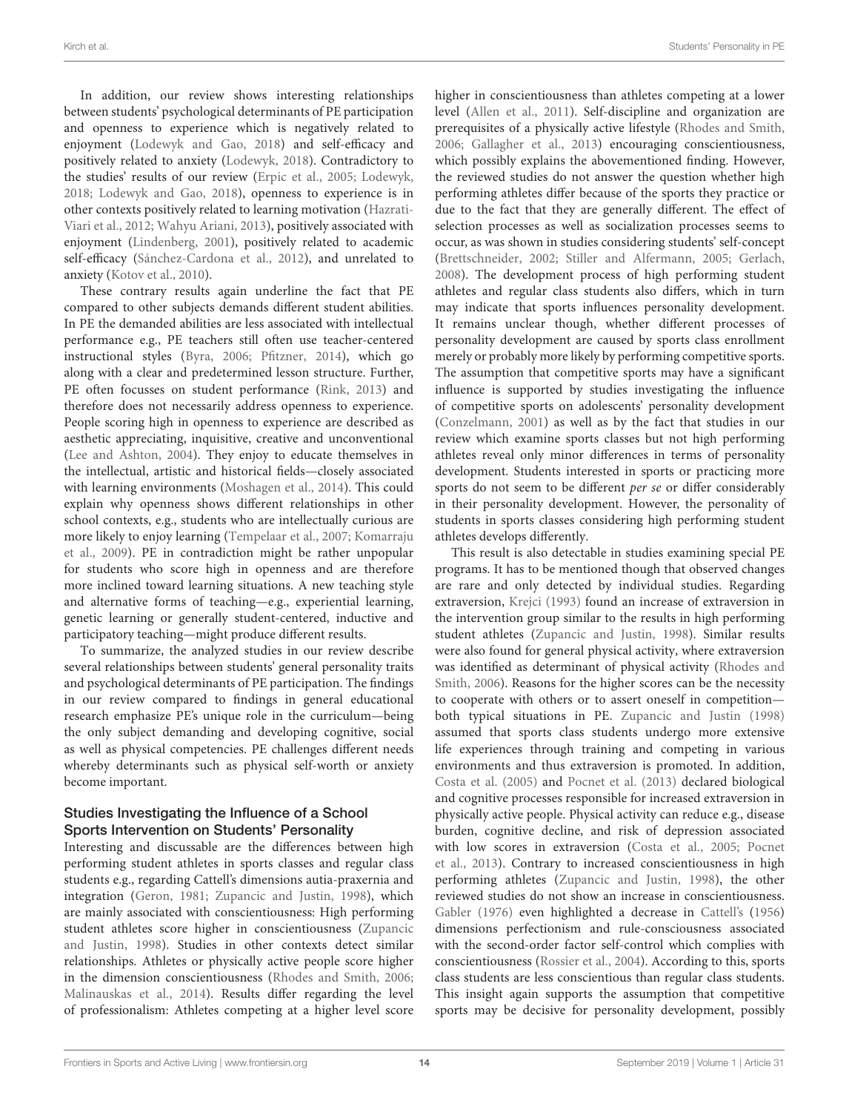In addition, our review shows interesting relationships between students' psychological determinants of PE participation and openness to experience which is negatively related to enjoyment [\(Lodewyk and Gao, 2018\)](#page-17-18) and self-efficacy and positively related to anxiety [\(Lodewyk, 2018\)](#page-17-17). Contradictory to the studies' results of our review [\(Erpic et al., 2005;](#page-16-23) [Lodewyk,](#page-17-17) [2018;](#page-17-17) [Lodewyk and Gao, 2018\)](#page-17-18), openness to experience is in other contexts positively related to learning motivation (Hazrati-Viari et al., [2012;](#page-17-40) [Wahyu Ariani, 2013\)](#page-18-39), positively associated with enjoyment [\(Lindenberg, 2001\)](#page-17-41), positively related to academic self-efficacy [\(Sánchez-Cardona et al., 2012\)](#page-18-40), and unrelated to anxiety [\(Kotov et al., 2010\)](#page-17-42).

These contrary results again underline the fact that PE compared to other subjects demands different student abilities. In PE the demanded abilities are less associated with intellectual performance e.g., PE teachers still often use teacher-centered instructional styles [\(Byra, 2006;](#page-16-39) [Pfitzner, 2014\)](#page-18-41), which go along with a clear and predetermined lesson structure. Further, PE often focusses on student performance [\(Rink, 2013\)](#page-18-42) and therefore does not necessarily address openness to experience. People scoring high in openness to experience are described as aesthetic appreciating, inquisitive, creative and unconventional [\(Lee and Ashton, 2004\)](#page-17-24). They enjoy to educate themselves in the intellectual, artistic and historical fields—closely associated with learning environments [\(Moshagen et al., 2014\)](#page-17-43). This could explain why openness shows different relationships in other school contexts, e.g., students who are intellectually curious are more likely to enjoy learning [\(Tempelaar et al., 2007;](#page-18-43) Komarraju et al., [2009\)](#page-17-38). PE in contradiction might be rather unpopular for students who score high in openness and are therefore more inclined toward learning situations. A new teaching style and alternative forms of teaching—e.g., experiential learning, genetic learning or generally student-centered, inductive and participatory teaching—might produce different results.

To summarize, the analyzed studies in our review describe several relationships between students' general personality traits and psychological determinants of PE participation. The findings in our review compared to findings in general educational research emphasize PE's unique role in the curriculum—being the only subject demanding and developing cognitive, social as well as physical competencies. PE challenges different needs whereby determinants such as physical self-worth or anxiety become important.

#### Studies Investigating the Influence of a School Sports Intervention on Students' Personality

Interesting and discussable are the differences between high performing student athletes in sports classes and regular class students e.g., regarding Cattell's dimensions autia-praxernia and integration [\(Geron, 1981;](#page-16-31) [Zupancic and Justin, 1998\)](#page-19-6), which are mainly associated with conscientiousness: High performing student athletes score higher in conscientiousness (Zupancic and Justin, [1998\)](#page-19-6). Studies in other contexts detect similar relationships. Athletes or physically active people score higher in the dimension conscientiousness [\(Rhodes and Smith, 2006;](#page-18-35) [Malinauskas et al., 2014\)](#page-17-44). Results differ regarding the level of professionalism: Athletes competing at a higher level score higher in conscientiousness than athletes competing at a lower level [\(Allen et al., 2011\)](#page-15-4). Self-discipline and organization are prerequisites of a physically active lifestyle [\(Rhodes and Smith,](#page-18-35) [2006;](#page-18-35) [Gallagher et al., 2013\)](#page-16-40) encouraging conscientiousness, which possibly explains the abovementioned finding. However, the reviewed studies do not answer the question whether high performing athletes differ because of the sports they practice or due to the fact that they are generally different. The effect of selection processes as well as socialization processes seems to occur, as was shown in studies considering students' self-concept [\(Brettschneider, 2002;](#page-16-41) [Stiller and Alfermann, 2005;](#page-18-44) [Gerlach,](#page-16-35) [2008\)](#page-16-35). The development process of high performing student athletes and regular class students also differs, which in turn may indicate that sports influences personality development. It remains unclear though, whether different processes of personality development are caused by sports class enrollment merely or probably more likely by performing competitive sports. The assumption that competitive sports may have a significant influence is supported by studies investigating the influence of competitive sports on adolescents' personality development [\(Conzelmann, 2001\)](#page-16-42) as well as by the fact that studies in our review which examine sports classes but not high performing athletes reveal only minor differences in terms of personality development. Students interested in sports or practicing more sports do not seem to be different per se or differ considerably in their personality development. However, the personality of students in sports classes considering high performing student athletes develops differently.

This result is also detectable in studies examining special PE programs. It has to be mentioned though that observed changes are rare and only detected by individual studies. Regarding extraversion, [Krejci \(1993\)](#page-17-30) found an increase of extraversion in the intervention group similar to the results in high performing student athletes [\(Zupancic and Justin, 1998\)](#page-19-6). Similar results were also found for general physical activity, where extraversion was identified as determinant of physical activity (Rhodes and Smith, [2006\)](#page-18-35). Reasons for the higher scores can be the necessity to cooperate with others or to assert oneself in competition both typical situations in PE. [Zupancic and Justin \(1998\)](#page-19-6) assumed that sports class students undergo more extensive life experiences through training and competing in various environments and thus extraversion is promoted. In addition, [Costa et al. \(2005\)](#page-16-43) and [Pocnet et al. \(2013\)](#page-18-45) declared biological and cognitive processes responsible for increased extraversion in physically active people. Physical activity can reduce e.g., disease burden, cognitive decline, and risk of depression associated with low scores in extraversion [\(Costa et al., 2005;](#page-16-43) Pocnet et al., [2013\)](#page-18-45). Contrary to increased conscientiousness in high performing athletes [\(Zupancic and Justin, 1998\)](#page-19-6), the other reviewed studies do not show an increase in conscientiousness. [Gabler \(1976\)](#page-16-18) even highlighted a decrease in [Cattell's](#page-16-10) [\(1956\)](#page-16-10) dimensions perfectionism and rule-consciousness associated with the second-order factor self-control which complies with conscientiousness [\(Rossier et al., 2004\)](#page-18-13). According to this, sports class students are less conscientious than regular class students. This insight again supports the assumption that competitive sports may be decisive for personality development, possibly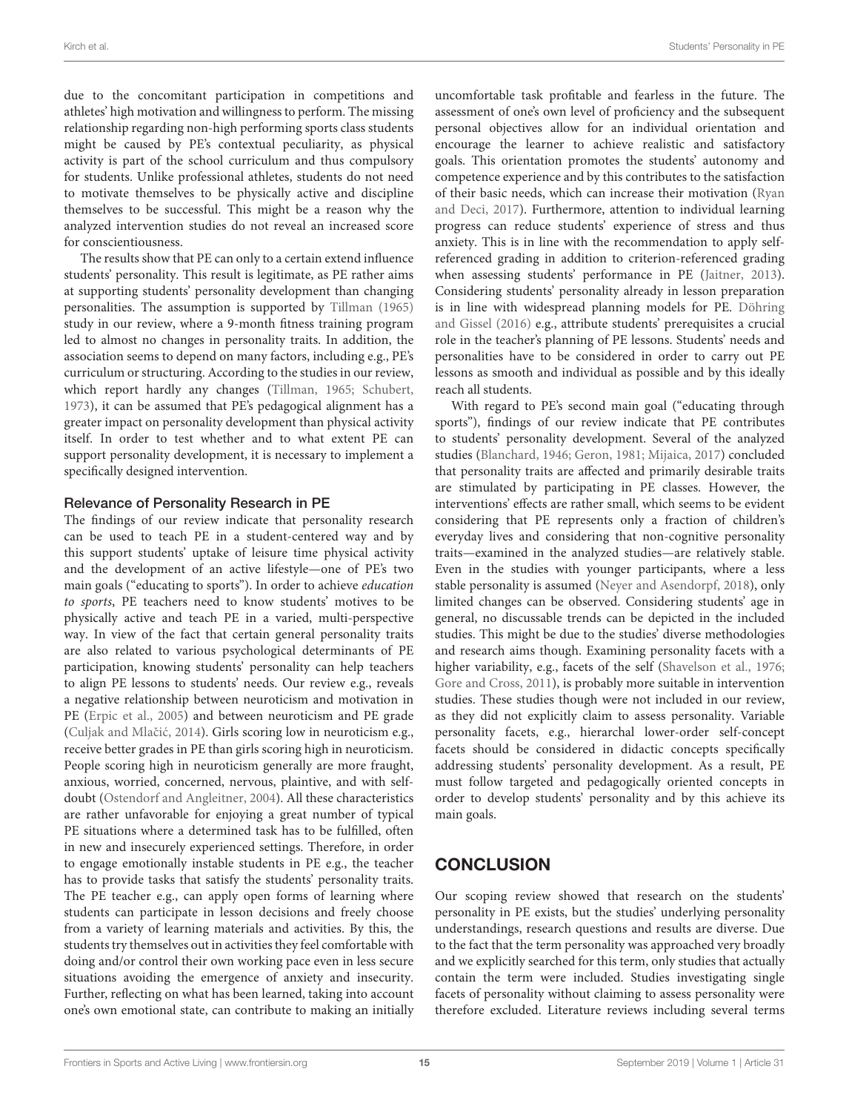due to the concomitant participation in competitions and athletes' high motivation and willingness to perform. The missing relationship regarding non-high performing sports class students might be caused by PE's contextual peculiarity, as physical activity is part of the school curriculum and thus compulsory for students. Unlike professional athletes, students do not need to motivate themselves to be physically active and discipline themselves to be successful. This might be a reason why the analyzed intervention studies do not reveal an increased score for conscientiousness.

The results show that PE can only to a certain extend influence students' personality. This result is legitimate, as PE rather aims at supporting students' personality development than changing personalities. The assumption is supported by [Tillman \(1965\)](#page-18-20) study in our review, where a 9-month fitness training program led to almost no changes in personality traits. In addition, the association seems to depend on many factors, including e.g., PE's curriculum or structuring. According to the studies in our review, which report hardly any changes [\(Tillman, 1965;](#page-18-20) [Schubert,](#page-18-29) [1973\)](#page-18-29), it can be assumed that PE's pedagogical alignment has a greater impact on personality development than physical activity itself. In order to test whether and to what extent PE can support personality development, it is necessary to implement a specifically designed intervention.

#### Relevance of Personality Research in PE

The findings of our review indicate that personality research can be used to teach PE in a student-centered way and by this support students' uptake of leisure time physical activity and the development of an active lifestyle—one of PE's two main goals ("educating to sports"). In order to achieve education to sports, PE teachers need to know students' motives to be physically active and teach PE in a varied, multi-perspective way. In view of the fact that certain general personality traits are also related to various psychological determinants of PE participation, knowing students' personality can help teachers to align PE lessons to students' needs. Our review e.g., reveals a negative relationship between neuroticism and motivation in PE [\(Erpic et al., 2005\)](#page-16-23) and between neuroticism and PE grade (Culjak and Mlačić, [2014](#page-16-22)). Girls scoring low in neuroticism e.g., receive better grades in PE than girls scoring high in neuroticism. People scoring high in neuroticism generally are more fraught, anxious, worried, concerned, nervous, plaintive, and with selfdoubt [\(Ostendorf and Angleitner, 2004\)](#page-18-46). All these characteristics are rather unfavorable for enjoying a great number of typical PE situations where a determined task has to be fulfilled, often in new and insecurely experienced settings. Therefore, in order to engage emotionally instable students in PE e.g., the teacher has to provide tasks that satisfy the students' personality traits. The PE teacher e.g., can apply open forms of learning where students can participate in lesson decisions and freely choose from a variety of learning materials and activities. By this, the students try themselves out in activities they feel comfortable with doing and/or control their own working pace even in less secure situations avoiding the emergence of anxiety and insecurity. Further, reflecting on what has been learned, taking into account one's own emotional state, can contribute to making an initially uncomfortable task profitable and fearless in the future. The assessment of one's own level of proficiency and the subsequent personal objectives allow for an individual orientation and encourage the learner to achieve realistic and satisfactory goals. This orientation promotes the students' autonomy and competence experience and by this contributes to the satisfaction of their basic needs, which can increase their motivation (Ryan and Deci, [2017\)](#page-18-47). Furthermore, attention to individual learning progress can reduce students' experience of stress and thus anxiety. This is in line with the recommendation to apply selfreferenced grading in addition to criterion-referenced grading when assessing students' performance in PE [\(Jaitner, 2013\)](#page-17-45). Considering students' personality already in lesson preparation is in line with widespread planning models for PE. Döhring and Gissel [\(2016\)](#page-16-44) e.g., attribute students' prerequisites a crucial role in the teacher's planning of PE lessons. Students' needs and personalities have to be considered in order to carry out PE lessons as smooth and individual as possible and by this ideally reach all students.

With regard to PE's second main goal ("educating through sports"), findings of our review indicate that PE contributes to students' personality development. Several of the analyzed studies [\(Blanchard, 1946;](#page-16-21) [Geron, 1981;](#page-16-31) [Mijaica, 2017\)](#page-17-32) concluded that personality traits are affected and primarily desirable traits are stimulated by participating in PE classes. However, the interventions' effects are rather small, which seems to be evident considering that PE represents only a fraction of children's everyday lives and considering that non-cognitive personality traits—examined in the analyzed studies—are relatively stable. Even in the studies with younger participants, where a less stable personality is assumed [\(Neyer and Asendorpf, 2018\)](#page-17-46), only limited changes can be observed. Considering students' age in general, no discussable trends can be depicted in the included studies. This might be due to the studies' diverse methodologies and research aims though. Examining personality facets with a higher variability, e.g., facets of the self [\(Shavelson et al., 1976;](#page-18-48) [Gore and Cross, 2011\)](#page-17-47), is probably more suitable in intervention studies. These studies though were not included in our review, as they did not explicitly claim to assess personality. Variable personality facets, e.g., hierarchal lower-order self-concept facets should be considered in didactic concepts specifically addressing students' personality development. As a result, PE must follow targeted and pedagogically oriented concepts in order to develop students' personality and by this achieve its main goals.

# **CONCLUSION**

Our scoping review showed that research on the students' personality in PE exists, but the studies' underlying personality understandings, research questions and results are diverse. Due to the fact that the term personality was approached very broadly and we explicitly searched for this term, only studies that actually contain the term were included. Studies investigating single facets of personality without claiming to assess personality were therefore excluded. Literature reviews including several terms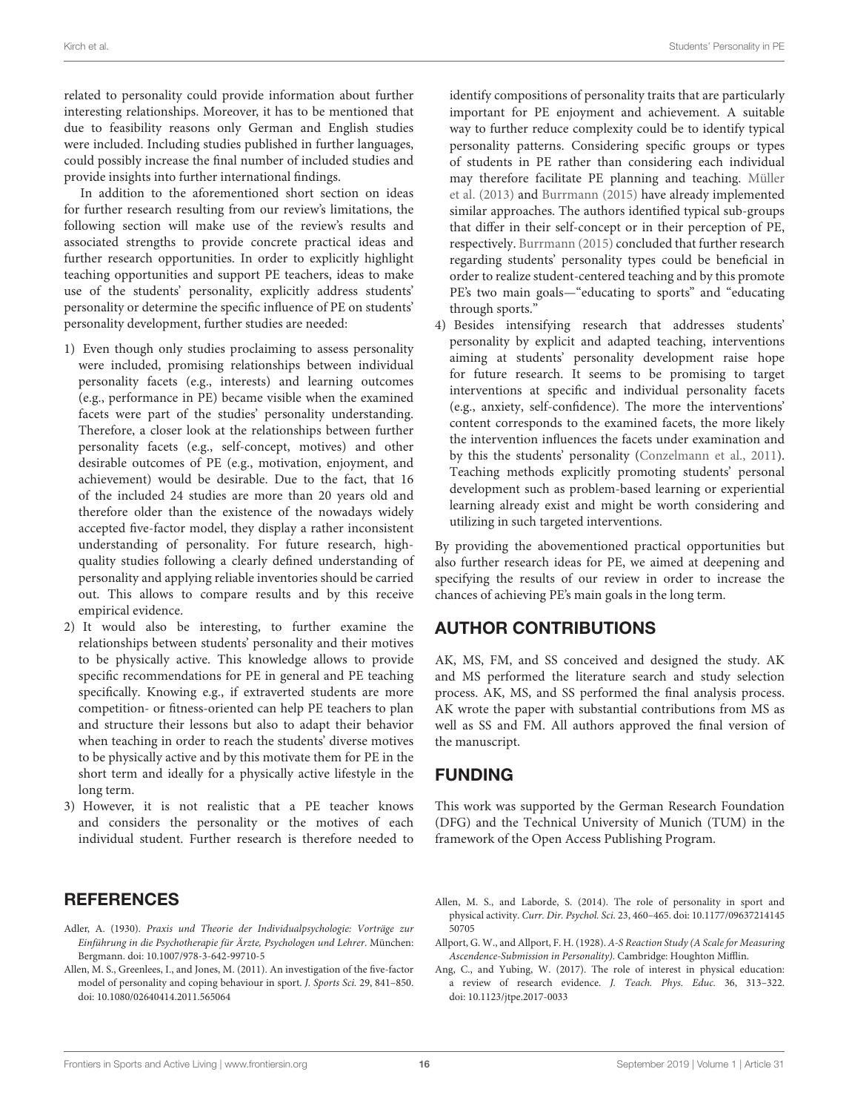related to personality could provide information about further interesting relationships. Moreover, it has to be mentioned that due to feasibility reasons only German and English studies were included. Including studies published in further languages, could possibly increase the final number of included studies and provide insights into further international findings.

In addition to the aforementioned short section on ideas for further research resulting from our review's limitations, the following section will make use of the review's results and associated strengths to provide concrete practical ideas and further research opportunities. In order to explicitly highlight teaching opportunities and support PE teachers, ideas to make use of the students' personality, explicitly address students' personality or determine the specific influence of PE on students' personality development, further studies are needed:

- 1) Even though only studies proclaiming to assess personality were included, promising relationships between individual personality facets (e.g., interests) and learning outcomes (e.g., performance in PE) became visible when the examined facets were part of the studies' personality understanding. Therefore, a closer look at the relationships between further personality facets (e.g., self-concept, motives) and other desirable outcomes of PE (e.g., motivation, enjoyment, and achievement) would be desirable. Due to the fact, that 16 of the included 24 studies are more than 20 years old and therefore older than the existence of the nowadays widely accepted five-factor model, they display a rather inconsistent understanding of personality. For future research, highquality studies following a clearly defined understanding of personality and applying reliable inventories should be carried out. This allows to compare results and by this receive empirical evidence.
- 2) It would also be interesting, to further examine the relationships between students' personality and their motives to be physically active. This knowledge allows to provide specific recommendations for PE in general and PE teaching specifically. Knowing e.g., if extraverted students are more competition- or fitness-oriented can help PE teachers to plan and structure their lessons but also to adapt their behavior when teaching in order to reach the students' diverse motives to be physically active and by this motivate them for PE in the short term and ideally for a physically active lifestyle in the long term.
- 3) However, it is not realistic that a PE teacher knows and considers the personality or the motives of each individual student. Further research is therefore needed to

### **REFERENCES**

- <span id="page-15-0"></span>Adler, A. (1930). Praxis und Theorie der Individualpsychologie: Vorträge zur Einführung in die Psychotherapie für Ärzte, Psychologen und Lehrer. München: Bergmann. doi: [10.1007/978-3-642-99710-5](https://doi.org/10.1007/978-3-642-99710-5)
- <span id="page-15-4"></span>Allen, M. S., Greenlees, I., and Jones, M. (2011). An investigation of the five-factor model of personality and coping behaviour in sport. J. Sports Sci. 29, 841–850. doi: [10.1080/02640414.2011.565064](https://doi.org/10.1080/02640414.2011.565064)

identify compositions of personality traits that are particularly important for PE enjoyment and achievement. A suitable way to further reduce complexity could be to identify typical personality patterns. Considering specific groups or types of students in PE rather than considering each individual may therefore facilitate PE planning and teaching. Müller et al. [\(2013\)](#page-17-48) and [Burrmann \(2015\)](#page-16-45) have already implemented similar approaches. The authors identified typical sub-groups that differ in their self-concept or in their perception of PE, respectively. [Burrmann \(2015\)](#page-16-45) concluded that further research regarding students' personality types could be beneficial in order to realize student-centered teaching and by this promote PE's two main goals—"educating to sports" and "educating through sports."

4) Besides intensifying research that addresses students' personality by explicit and adapted teaching, interventions aiming at students' personality development raise hope for future research. It seems to be promising to target interventions at specific and individual personality facets (e.g., anxiety, self-confidence). The more the interventions' content corresponds to the examined facets, the more likely the intervention influences the facets under examination and by this the students' personality [\(Conzelmann et al., 2011\)](#page-16-46). Teaching methods explicitly promoting students' personal development such as problem-based learning or experiential learning already exist and might be worth considering and utilizing in such targeted interventions.

By providing the abovementioned practical opportunities but also further research ideas for PE, we aimed at deepening and specifying the results of our review in order to increase the chances of achieving PE's main goals in the long term.

### AUTHOR CONTRIBUTIONS

AK, MS, FM, and SS conceived and designed the study. AK and MS performed the literature search and study selection process. AK, MS, and SS performed the final analysis process. AK wrote the paper with substantial contributions from MS as well as SS and FM. All authors approved the final version of the manuscript.

### FUNDING

This work was supported by the German Research Foundation (DFG) and the Technical University of Munich (TUM) in the framework of the Open Access Publishing Program.

- <span id="page-15-3"></span>Allen, M. S., and Laborde, S. (2014). The role of personality in sport and physical activity. Curr. Dir. Psychol. Sci. [23, 460–465. doi: 10.1177/09637214145](https://doi.org/10.1177/0963721414550705) 50705
- <span id="page-15-2"></span>Allport, G. W., and Allport, F. H. (1928). A-S Reaction Study (A Scale for Measuring Ascendence-Submission in Personality). Cambridge: Houghton Mifflin.
- <span id="page-15-1"></span>Ang, C., and Yubing, W. (2017). The role of interest in physical education: a review of research evidence. J. Teach. Phys. Educ. 36, 313–322. doi: [10.1123/jtpe.2017-0033](https://doi.org/10.1123/jtpe.2017-0033)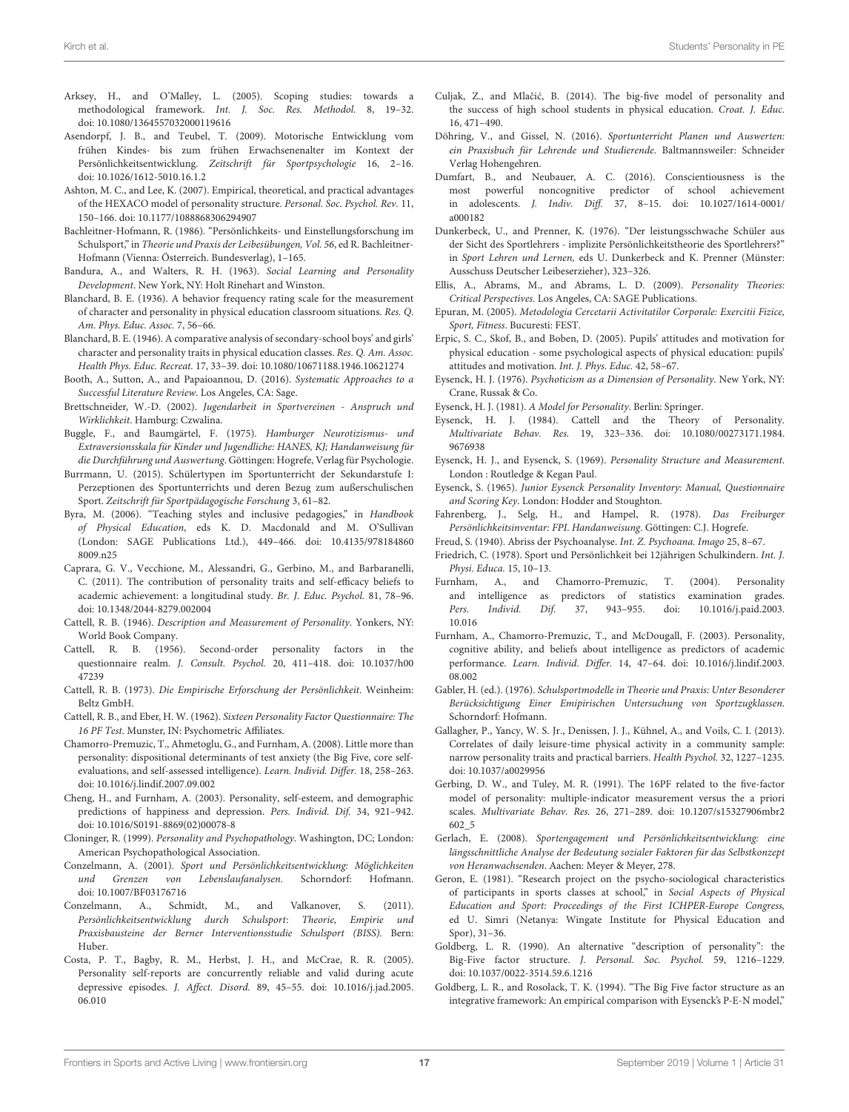- <span id="page-16-16"></span>Arksey, H., and O'Malley, L. (2005). Scoping studies: towards a methodological framework. Int. J. Soc. Res. Methodol. 8, 19–32. doi: [10.1080/1364557032000119616](https://doi.org/10.1080/1364557032000119616)
- <span id="page-16-14"></span>Asendorpf, J. B., and Teubel, T. (2009). Motorische Entwicklung vom frühen Kindes- bis zum frühen Erwachsenenalter im Kontext der Persönlichkeitsentwicklung. Zeitschrift für Sportpsychologie 16, 2–16. doi: [10.1026/1612-5010.16.1.2](https://doi.org/10.1026/1612-5010.16.1.2)
- <span id="page-16-26"></span>Ashton, M. C., and Lee, K. (2007). Empirical, theoretical, and practical advantages of the HEXACO model of personality structure. Personal. Soc. Psychol. Rev. 11, 150–166. doi: [10.1177/1088868306294907](https://doi.org/10.1177/1088868306294907)
- <span id="page-16-20"></span>Bachleitner-Hofmann, R. (1986). "Persönlichkeits- und Einstellungsforschung im Schulsport," in Theorie und Praxis der Leibesübungen, Vol. 56, ed R. Bachleitner-Hofmann (Vienna: Österreich. Bundesverlag), 1–165.
- <span id="page-16-4"></span>Bandura, A., and Walters, R. H. (1963). Social Learning and Personality Development. New York, NY: Holt Rinehart and Winston.
- <span id="page-16-30"></span>Blanchard, B. E. (1936). A behavior frequency rating scale for the measurement of character and personality in physical education classroom situations. Res. Q. Am. Phys. Educ. Assoc. 7, 56–66.
- <span id="page-16-21"></span>Blanchard, B. E. (1946). A comparative analysis of secondary-school boys' and girls' character and personality traits in physical education classes. Res. Q. Am. Assoc. Health Phys. Educ. Recreat. 17, 33–39. doi: [10.1080/10671188.1946.10621274](https://doi.org/10.1080/10671188.1946.10621274)
- <span id="page-16-15"></span>Booth, A., Sutton, A., and Papaioannou, D. (2016). Systematic Approaches to a Successful Literature Review. Los Angeles, CA: Sage.
- <span id="page-16-41"></span>Brettschneider, W.-D. (2002). Jugendarbeit in Sportvereinen - Anspruch und Wirklichkeit. Hamburg: Czwalina.
- <span id="page-16-24"></span>Buggle, F., and Baumgärtel, F. (1975). Hamburger Neurotizismus- und Extraversionsskala für Kinder und Jugendliche: HANES, KJ; Handanweisung für die Durchführung und Auswertung. Göttingen: Hogrefe, Verlag für Psychologie.
- <span id="page-16-45"></span>Burrmann, U. (2015). Schülertypen im Sportunterricht der Sekundarstufe I: Perzeptionen des Sportunterrichts und deren Bezug zum außerschulischen Sport. Zeitschrift für Sportpädagogische Forschung 3, 61–82.
- <span id="page-16-39"></span>Byra, M. (2006). "Teaching styles and inclusive pedagogies," in Handbook of Physical Education, eds K. D. Macdonald and M. O'Sullivan [\(London: SAGE Publications Ltd.\), 449–466. doi: 10.4135/978184860](https://doi.org/10.4135/9781848608009.n25) 8009.n25
- <span id="page-16-38"></span>Caprara, G. V., Vecchione, M., Alessandri, G., Gerbino, M., and Barbaranelli, C. (2011). The contribution of personality traits and self-efficacy beliefs to academic achievement: a longitudinal study. Br. J. Educ. Psychol. 81, 78–96. doi: [10.1348/2044-8279.002004](https://doi.org/10.1348/2044-8279.002004)
- <span id="page-16-6"></span>Cattell, R. B. (1946). Description and Measurement of Personality. Yonkers, NY: World Book Company.
- <span id="page-16-10"></span>Cattell, R. B. (1956). Second-order personality factors in the questionnaire realm. J. Consult. Psychol. [20, 411–418. doi: 10.1037/h00](https://doi.org/10.1037/h0047239) 47239
- <span id="page-16-27"></span>Cattell, R. B. (1973). Die Empirische Erforschung der Persönlichkeit. Weinheim: Beltz GmbH.
- <span id="page-16-28"></span>Cattell, R. B., and Eber, H. W. (1962). Sixteen Personality Factor Questionnaire: The 16 PF Test. Munster, IN: Psychometric Affiliates.
- <span id="page-16-37"></span>Chamorro-Premuzic, T., Ahmetoglu, G., and Furnham, A. (2008). Little more than personality: dispositional determinants of test anxiety (the Big Five, core selfevaluations, and self-assessed intelligence). Learn. Individ. Differ. 18, 258–263. doi: [10.1016/j.lindif.2007.09.002](https://doi.org/10.1016/j.lindif.2007.09.002)
- <span id="page-16-36"></span>Cheng, H., and Furnham, A. (2003). Personality, self-esteem, and demographic predictions of happiness and depression. Pers. Individ. Dif. 34, 921–942. doi: [10.1016/S0191-8869\(02\)00078-8](https://doi.org/10.1016/S0191-8869(02)00078-8)
- <span id="page-16-3"></span>Cloninger, R. (1999). Personality and Psychopathology. Washington, DC; London: American Psychopathological Association.
- <span id="page-16-42"></span>Conzelmann, A. (2001). Sport und Persönlichkeitsentwicklung: Möglichkeiten und Grenzen von Lebenslaufanalysen. Schorndorf: Hofmann. doi: [10.1007/BF03176716](https://doi.org/10.1007/BF03176716)
- <span id="page-16-46"></span>Conzelmann, A., Schmidt, M., and Valkanover, S. (2011). Persönlichkeitsentwicklung durch Schulsport: Theorie, Empirie und Praxisbausteine der Berner Interventionsstudie Schulsport (BISS). Bern: Huber.
- <span id="page-16-43"></span>Costa, P. T., Bagby, R. M., Herbst, J. H., and McCrae, R. R. (2005). Personality self-reports are concurrently reliable and valid during acute depressive episodes. J. Affect. Disord. [89, 45–55. doi: 10.1016/j.jad.2005.](https://doi.org/10.1016/j.jad.2005.06.010) 06.010
- <span id="page-16-22"></span>Culjak, Z., and Mlačić, B. (2014). The big-five model of personality and the success of high school students in physical education. Croat. J. Educ. 16, 471–490.
- <span id="page-16-44"></span>Döhring, V., and Gissel, N. (2016). Sportunterricht Planen und Auswerten: ein Praxisbuch für Lehrende und Studierende. Baltmannsweiler: Schneider Verlag Hohengehren.
- <span id="page-16-34"></span>Dumfart, B., and Neubauer, A. C. (2016). Conscientiousness is the most powerful noncognitive predictor of school achievement in adolescents. J. Indiv. Diff. [37, 8–15. doi: 10.1027/1614-0001/](https://doi.org/10.1027/1614-0001/a000182) a000182
- <span id="page-16-17"></span>Dunkerbeck, U., and Prenner, K. (1976). "Der leistungsschwache Schüler aus der Sicht des Sportlehrers - implizite Persönlichkeitstheorie des Sportlehrers?" in Sport Lehren und Lernen, eds U. Dunkerbeck and K. Prenner (Münster: Ausschuss Deutscher Leibeserzieher), 323–326.
- <span id="page-16-5"></span>Ellis, A., Abrams, M., and Abrams, L. D. (2009). Personality Theories: Critical Perspectives. Los Angeles, CA: SAGE Publications.
- <span id="page-16-32"></span>Epuran, M. (2005). Metodologia Cercetarii Activitatilor Corporale: Exercitii Fizice, Sport, Fitness. Bucuresti: FEST.
- <span id="page-16-23"></span>Erpic, S. C., Skof, B., and Boben, D. (2005). Pupils' attitudes and motivation for physical education - some psychological aspects of physical education: pupils' attitudes and motivation. Int. J. Phys. Educ. 42, 58–67.
- <span id="page-16-11"></span>Eysenck, H. J. (1976). Psychoticism as a Dimension of Personality. New York, NY: Crane, Russak & Co.
- <span id="page-16-33"></span>Eysenck, H. J. (1981). A Model for Personality. Berlin: Springer.
- <span id="page-16-12"></span>Eysenck, H. J. (1984). Cattell and the Theory of Personality. Multivariate Behav. Res. [19, 323–336. doi: 10.1080/00273171.1984.](https://doi.org/10.1080/00273171.1984.9676938) 9676938
- <span id="page-16-7"></span>Eysenck, H. J., and Eysenck, S. (1969). Personality Structure and Measurement. London : Routledge & Kegan Paul.
- <span id="page-16-25"></span>Eysenck, S. (1965). Junior Eysenck Personality Inventory: Manual, Questionnaire and Scoring Key. London: Hodder and Stoughton.
- <span id="page-16-29"></span>Fahrenberg, J., Selg, H., and Hampel, R. (1978). Das Freiburger Persönlichkeitsinventar: FPI. Handanweisung. Göttingen: C.J. Hogrefe.
- <span id="page-16-2"></span>Freud, S. (1940). Abriss der Psychoanalyse. Int. Z. Psychoana. Imago 25, 8–67.
- <span id="page-16-19"></span>Friedrich, C. (1978). Sport und Persönlichkeit bei 12jährigen Schulkindern. Int. J. Physi. Educa. 15, 10–13.
- <span id="page-16-0"></span>Furnham, A., and Chamorro-Premuzic, T. (2004). Personality and intelligence as predictors of statistics examination grades. Pers. Individ. Dif. [37, 943–955. doi: 10.1016/j.paid.2003.](https://doi.org/10.1016/j.paid.2003.10.016) 10.016
- <span id="page-16-1"></span>Furnham, A., Chamorro-Premuzic, T., and McDougall, F. (2003). Personality, cognitive ability, and beliefs about intelligence as predictors of academic performance. Learn. Individ. Differ. [14, 47–64. doi: 10.1016/j.lindif.2003.](https://doi.org/10.1016/j.lindif.2003.08.002) 08.002
- <span id="page-16-18"></span>Gabler, H. (ed.). (1976). Schulsportmodelle in Theorie und Praxis: Unter Besonderer Berücksichtigung Einer Emipirischen Untersuchung von Sportzugklassen. Schorndorf: Hofmann.
- <span id="page-16-40"></span>Gallagher, P., Yancy, W. S. Jr., Denissen, J. J., Kühnel, A., and Voils, C. I. (2013). Correlates of daily leisure-time physical activity in a community sample: narrow personality traits and practical barriers. Health Psychol. 32, 1227–1235. doi: [10.1037/a0029956](https://doi.org/10.1037/a0029956)
- <span id="page-16-8"></span>Gerbing, D. W., and Tuley, M. R. (1991). The 16PF related to the five-factor model of personality: multiple-indicator measurement versus the a priori scales. Multivariate Behav. Res. [26, 271–289. doi: 10.1207/s15327906mbr2](https://doi.org/10.1207/s15327906mbr2602_5) 602\_5
- <span id="page-16-35"></span>Gerlach, E. (2008). Sportengagement und Persönlichkeitsentwicklung: eine längsschnittliche Analyse der Bedeutung sozialer Faktoren für das Selbstkonzept von Heranwachsenden. Aachen: Meyer & Meyer, 278.
- <span id="page-16-31"></span>Geron, E. (1981). "Research project on the psycho-sociological characteristics of participants in sports classes at school," in Social Aspects of Physical Education and Sport: Proceedings of the First ICHPER-Europe Congress, ed U. Simri (Netanya: Wingate Institute for Physical Education and Spor), 31–36.
- <span id="page-16-13"></span>Goldberg, L. R. (1990). An alternative "description of personality": the Big-Five factor structure. J. Personal. Soc. Psychol. 59, 1216–1229. doi: [10.1037/0022-3514.59.6.1216](https://doi.org/10.1037/0022-3514.59.6.1216)
- <span id="page-16-9"></span>Goldberg, L. R., and Rosolack, T. K. (1994). "The Big Five factor structure as an integrative framework: An empirical comparison with Eysenck's P-E-N model,"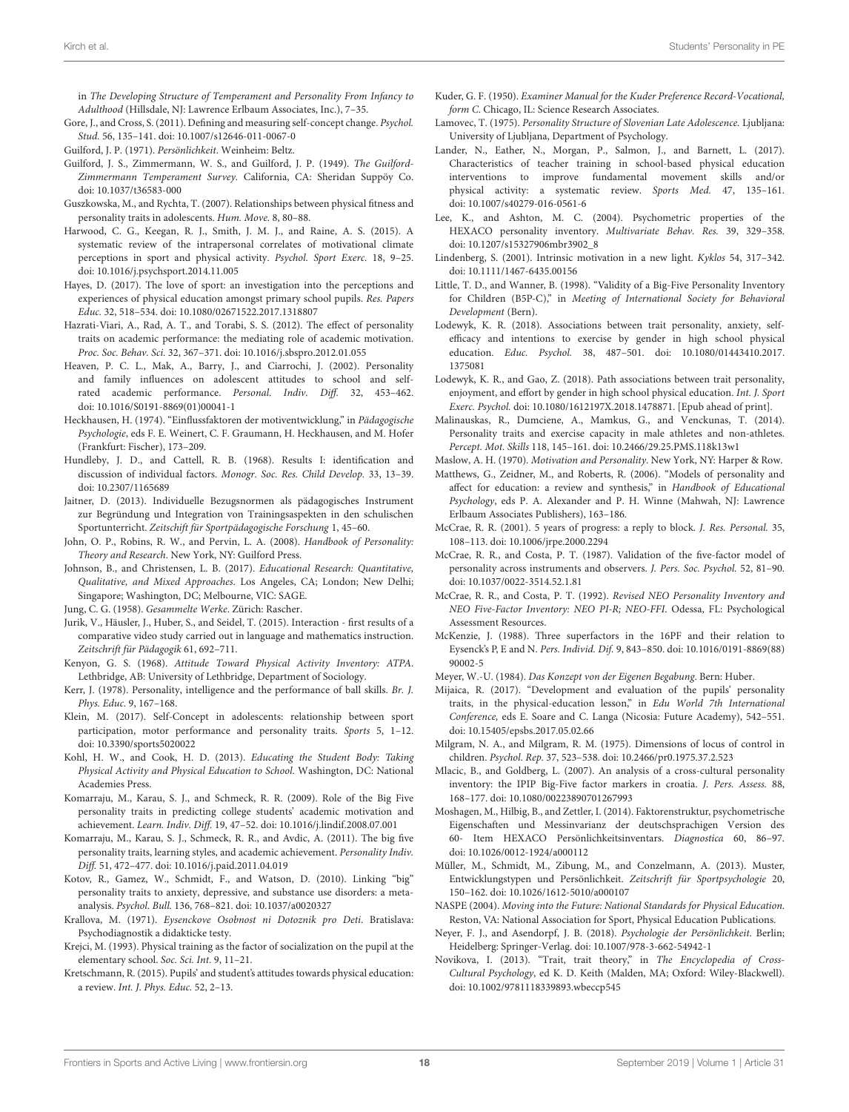in The Developing Structure of Temperament and Personality From Infancy to Adulthood (Hillsdale, NJ: Lawrence Erlbaum Associates, Inc.), 7–35.

<span id="page-17-47"></span>Gore, J., and Cross, S. (2011). Defining and measuring self-concept change. Psychol. Stud. 56, 135–141. doi: [10.1007/s12646-011-0067-0](https://doi.org/10.1007/s12646-011-0067-0)

- <span id="page-17-26"></span>Guilford, J. S., Zimmermann, W. S., and Guilford, J. P. (1949). The Guilford-Zimmermann Temperament Survey. California, CA: Sheridan Suppöy Co. doi: [10.1037/t36583-000](https://doi.org/10.1037/t36583-000)
- <span id="page-17-21"></span>Guszkowska, M., and Rychta, T. (2007). Relationships between physical fitness and personality traits in adolescents. Hum. Move. 8, 80–88.
- <span id="page-17-11"></span>Harwood, C. G., Keegan, R. J., Smith, J. M. J., and Raine, A. S. (2015). A systematic review of the intrapersonal correlates of motivational climate perceptions in sport and physical activity. Psychol. Sport Exerc. 18, 9–25. doi: [10.1016/j.psychsport.2014.11.005](https://doi.org/10.1016/j.psychsport.2014.11.005)
- <span id="page-17-16"></span>Hayes, D. (2017). The love of sport: an investigation into the perceptions and experiences of physical education amongst primary school pupils. Res. Papers Educ. 32, 518–534. doi: [10.1080/02671522.2017.1318807](https://doi.org/10.1080/02671522.2017.1318807)
- <span id="page-17-40"></span>Hazrati-Viari, A., Rad, A. T., and Torabi, S. S. (2012). The effect of personality traits on academic performance: the mediating role of academic motivation. Proc. Soc. Behav. Sci. 32, 367–371. doi: [10.1016/j.sbspro.2012.01.055](https://doi.org/10.1016/j.sbspro.2012.01.055)
- <span id="page-17-39"></span>Heaven, P. C. L., Mak, A., Barry, J., and Ciarrochi, J. (2002). Personality and family influences on adolescent attitudes to school and selfrated academic performance. Personal. Indiv. Diff. 32, 453–462. doi: [10.1016/S0191-8869\(01\)00041-1](https://doi.org/10.1016/S0191-8869(01)00041-1)
- <span id="page-17-28"></span>Heckhausen, H. (1974). "Einflussfaktoren der motiventwicklung," in Pädagogische Psychologie, eds F. E. Weinert, C. F. Graumann, H. Heckhausen, and M. Hofer (Frankfurt: Fischer), 173–209.
- <span id="page-17-22"></span>Hundleby, J. D., and Cattell, R. B. (1968). Results I: identification and discussion of individual factors. Monogr. Soc. Res. Child Develop. 33, 13–39. doi: [10.2307/1165689](https://doi.org/10.2307/1165689)
- <span id="page-17-45"></span>Jaitner, D. (2013). Individuelle Bezugsnormen als pädagogisches Instrument zur Begründung und Integration von Trainingsaspekten in den schulischen Sportunterricht. Zeitschift für Sportpädagogische Forschung 1, 45–60.
- <span id="page-17-35"></span>John, O. P., Robins, R. W., and Pervin, L. A. (2008). Handbook of Personality: Theory and Research. New York, NY: Guilford Press.
- <span id="page-17-4"></span>Johnson, B., and Christensen, L. B. (2017). Educational Research: Quantitative, Qualitative, and Mixed Approaches. Los Angeles, CA; London; New Delhi; Singapore; Washington, DC; Melbourne, VIC: SAGE.
- <span id="page-17-5"></span>Jung, C. G. (1958). Gesammelte Werke. Zürich: Rascher.
- <span id="page-17-2"></span>Jurik, V., Häusler, J., Huber, S., and Seidel, T. (2015). Interaction - first results of a comparative video study carried out in language and mathematics instruction. Zeitschrift für Pädagogik 61, 692–711.
- <span id="page-17-27"></span>Kenyon, G. S. (1968). Attitude Toward Physical Activity Inventory: ATPA. Lethbridge, AB: University of Lethbridge, Department of Sociology.
- <span id="page-17-15"></span>Kerr, J. (1978). Personality, intelligence and the performance of ball skills. Br. J. Phys. Educ. 9, 167–168.
- <span id="page-17-14"></span>Klein, M. (2017). Self-Concept in adolescents: relationship between sport participation, motor performance and personality traits. Sports 5, 1–12. doi: [10.3390/sports5020022](https://doi.org/10.3390/sports5020022)
- <span id="page-17-0"></span>Kohl, H. W., and Cook, H. D. (2013). Educating the Student Body: Taking Physical Activity and Physical Education to School. Washington, DC: National Academies Press.
- <span id="page-17-38"></span>Komarraju, M., Karau, S. J., and Schmeck, R. R. (2009). Role of the Big Five personality traits in predicting college students' academic motivation and achievement. Learn. Indiv. Diff. 19, 47–52. doi: [10.1016/j.lindif.2008.07.001](https://doi.org/10.1016/j.lindif.2008.07.001)
- <span id="page-17-10"></span>Komarraju, M., Karau, S. J., Schmeck, R. R., and Avdic, A. (2011). The big five personality traits, learning styles, and academic achievement. Personality Indiv. Diff. 51, 472–477. doi: [10.1016/j.paid.2011.04.019](https://doi.org/10.1016/j.paid.2011.04.019)
- <span id="page-17-42"></span>Kotov, R., Gamez, W., Schmidt, F., and Watson, D. (2010). Linking "big" personality traits to anxiety, depressive, and substance use disorders: a metaanalysis. Psychol. Bull. 136, 768–821. doi: [10.1037/a0020327](https://doi.org/10.1037/a0020327)
- <span id="page-17-31"></span>Krallova, M. (1971). Eysenckove Osobnost ni Dotoznik pro Deti. Bratislava: Psychodiagnostik a didakticke testy.
- <span id="page-17-30"></span>Krejci, M. (1993). Physical training as the factor of socialization on the pupil at the elementary school. Soc. Sci. Int. 9, 11–21.
- <span id="page-17-12"></span>Kretschmann, R. (2015). Pupils' and student's attitudes towards physical education: a review. Int. J. Phys. Educ. 52, 2–13.
- <span id="page-17-33"></span>Kuder, G. F. (1950). Examiner Manual for the Kuder Preference Record-Vocational, form C. Chicago, IL: Science Research Associates.
- <span id="page-17-34"></span>Lamovec, T. (1975). Personality Structure of Slovenian Late Adolescence. Ljubljana: University of Ljubljana, Department of Psychology.
- <span id="page-17-13"></span>Lander, N., Eather, N., Morgan, P., Salmon, J., and Barnett, L. (2017). Characteristics of teacher training in school-based physical education interventions to improve fundamental movement skills and/or physical activity: a systematic review. Sports Med. 47, 135–161. doi: [10.1007/s40279-016-0561-6](https://doi.org/10.1007/s40279-016-0561-6)
- <span id="page-17-24"></span>Lee, K., and Ashton, M. C. (2004). Psychometric properties of the HEXACO personality inventory. Multivariate Behav. Res. 39, 329–358. doi: [10.1207/s15327906mbr3902\\_8](https://doi.org/10.1207/s15327906mbr3902_8)
- <span id="page-17-41"></span>Lindenberg, S. (2001). Intrinsic motivation in a new light. Kyklos 54, 317–342. doi: [10.1111/1467-6435.00156](https://doi.org/10.1111/1467-6435.00156)
- <span id="page-17-20"></span>Little, T. D., and Wanner, B. (1998). "Validity of a Big-Five Personality Inventory for Children (B5P-C)," in Meeting of International Society for Behavioral Development (Bern).
- <span id="page-17-17"></span>Lodewyk, K. R. (2018). Associations between trait personality, anxiety, selfefficacy and intentions to exercise by gender in high school physical education. Educ. Psychol. [38, 487–501. doi: 10.1080/01443410.2017.](https://doi.org/10.1080/01443410.2017.1375081) 1375081
- <span id="page-17-18"></span>Lodewyk, K. R., and Gao, Z. (2018). Path associations between trait personality, enjoyment, and effort by gender in high school physical education. Int. J. Sport Exerc. Psychol. doi: [10.1080/1612197X.2018.1478871.](https://doi.org/10.1080/1612197X.2018.1478871) [Epub ahead of print].
- <span id="page-17-44"></span>Malinauskas, R., Dumciene, A., Mamkus, G., and Venckunas, T. (2014). Personality traits and exercise capacity in male athletes and non-athletes. Percept. Mot. Skills 118, 145–161. doi: [10.2466/29.25.PMS.118k13w1](https://doi.org/10.2466/29.25.PMS.118k13w1)
- <span id="page-17-6"></span>Maslow, A. H. (1970). Motivation and Personality. New York, NY: Harper & Row.
- <span id="page-17-3"></span>Matthews, G., Zeidner, M., and Roberts, R. (2006). "Models of personality and affect for education: a review and synthesis," in Handbook of Educational Psychology, eds P. A. Alexander and P. H. Winne (Mahwah, NJ: Lawrence Erlbaum Associates Publishers), 163–186.
- <span id="page-17-37"></span>McCrae, R. R. (2001). 5 years of progress: a reply to block. J. Res. Personal. 35, 108–113. doi: [10.1006/jrpe.2000.2294](https://doi.org/10.1006/jrpe.2000.2294)
- <span id="page-17-9"></span>McCrae, R. R., and Costa, P. T. (1987). Validation of the five-factor model of personality across instruments and observers. J. Pers. Soc. Psychol. 52, 81–90. doi: [10.1037/0022-3514.52.1.81](https://doi.org/10.1037/0022-3514.52.1.81)
- <span id="page-17-23"></span>McCrae, R. R., and Costa, P. T. (1992). Revised NEO Personality Inventory and NEO Five-Factor Inventory: NEO PI-R; NEO-FFI. Odessa, FL: Psychological Assessment Resources.
- <span id="page-17-8"></span>McKenzie, J. (1988). Three superfactors in the 16PF and their relation to Eysenck's P, E and N. Pers. Individ. Dif. [9, 843–850. doi: 10.1016/0191-8869\(88\)](https://doi.org/10.1016/0191-8869(88)90002-5) 90002-5
- <span id="page-17-25"></span>Meyer, W.-U. (1984). Das Konzept von der Eigenen Begabung. Bern: Huber.
- <span id="page-17-32"></span>Mijaica, R. (2017). "Development and evaluation of the pupils' personality traits, in the physical-education lesson," in Edu World 7th International Conference, eds E. Soare and C. Langa (Nicosia: Future Academy), 542–551. doi: [10.15405/epsbs.2017.05.02.66](https://doi.org/10.15405/epsbs.2017.05.02.66)
- <span id="page-17-29"></span>Milgram, N. A., and Milgram, R. M. (1975). Dimensions of locus of control in children. Psychol. Rep. 37, 523–538. doi: [10.2466/pr0.1975.37.2.523](https://doi.org/10.2466/pr0.1975.37.2.523)
- <span id="page-17-19"></span>Mlacic, B., and Goldberg, L. (2007). An analysis of a cross-cultural personality inventory: the IPIP Big-Five factor markers in croatia. J. Pers. Assess. 88, 168–177. doi: [10.1080/00223890701267993](https://doi.org/10.1080/00223890701267993)
- <span id="page-17-43"></span>Moshagen, M., Hilbig, B., and Zettler, I. (2014). Faktorenstruktur, psychometrische Eigenschaften und Messinvarianz der deutschsprachigen Version des 60- Item HEXACO Persönlichkeitsinventars. Diagnostica 60, 86–97. doi: [10.1026/0012-1924/a000112](https://doi.org/10.1026/0012-1924/a000112)
- <span id="page-17-48"></span>Müller, M., Schmidt, M., Zibung, M., and Conzelmann, A. (2013). Muster, Entwicklungstypen und Persönlichkeit. Zeitschrift für Sportpsychologie 20, 150–162. doi: [10.1026/1612-5010/a000107](https://doi.org/10.1026/1612-5010/a000107)
- <span id="page-17-1"></span>NASPE (2004). Moving into the Future: National Standards for Physical Education. Reston, VA: National Association for Sport, Physical Education Publications.
- <span id="page-17-46"></span>Neyer, F. J., and Asendorpf, J. B. (2018). Psychologie der Persönlichkeit. Berlin; Heidelberg: Springer-Verlag. doi: [10.1007/978-3-662-54942-1](https://doi.org/10.1007/978-3-662-54942-1)
- <span id="page-17-36"></span>Novikova, I. (2013). "Trait, trait theory," in The Encyclopedia of Cross-Cultural Psychology, ed K. D. Keith (Malden, MA; Oxford: Wiley-Blackwell). doi: [10.1002/9781118339893.wbeccp545](https://doi.org/10.1002/9781118339893.wbeccp545)

<span id="page-17-7"></span>Guilford, J. P. (1971). Persönlichkeit. Weinheim: Beltz.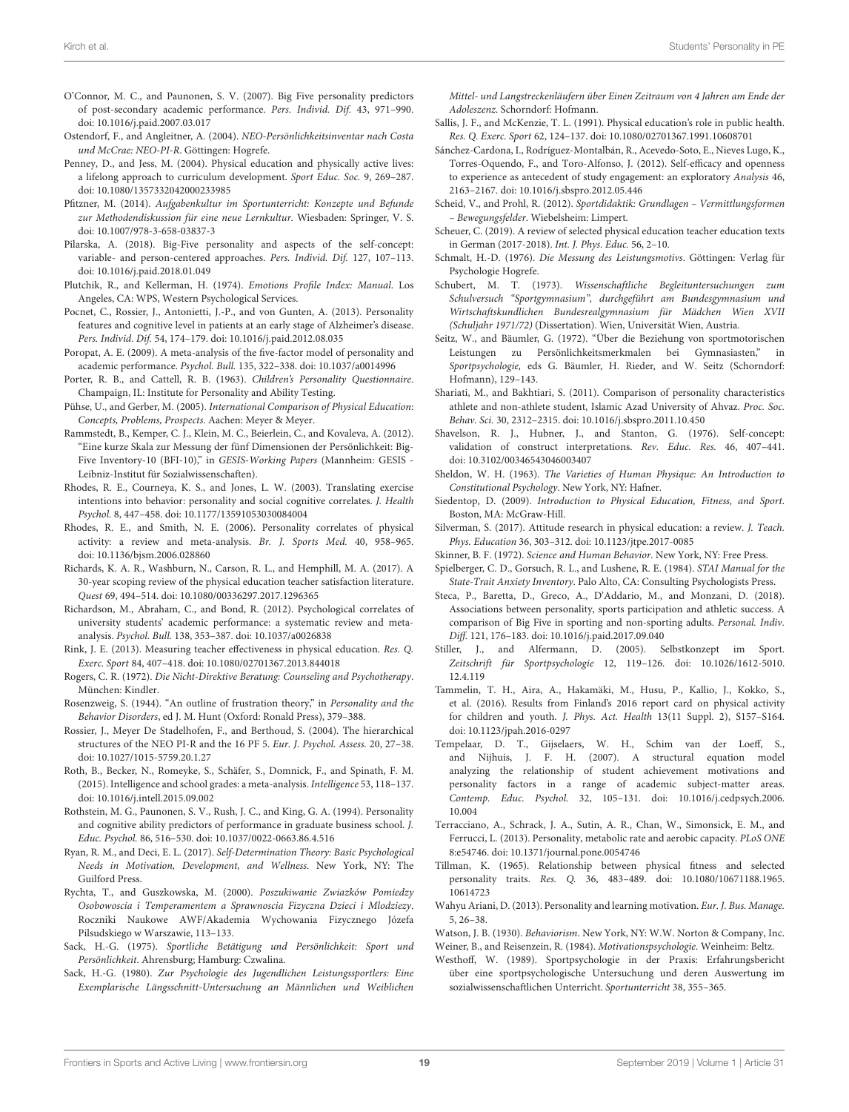- <span id="page-18-5"></span>O'Connor, M. C., and Paunonen, S. V. (2007). Big Five personality predictors of post-secondary academic performance. Pers. Individ. Dif. 43, 971–990. doi: [10.1016/j.paid.2007.03.017](https://doi.org/10.1016/j.paid.2007.03.017)
- <span id="page-18-46"></span>Ostendorf, F., and Angleitner, A. (2004). NEO-Persönlichkeitsinventar nach Costa und McCrae: NEO-PI-R. Göttingen: Hogrefe.
- <span id="page-18-0"></span>Penney, D., and Jess, M. (2004). Physical education and physically active lives: a lifelong approach to curriculum development. Sport Educ. Soc. 9, 269–287. doi: [10.1080/1357332042000233985](https://doi.org/10.1080/1357332042000233985)
- <span id="page-18-41"></span>Pfitzner, M. (2014). Aufgabenkultur im Sportunterricht: Konzepte und Befunde zur Methodendiskussion für eine neue Lernkultur. Wiesbaden: Springer, V. S. doi: [10.1007/978-3-658-03837-3](https://doi.org/10.1007/978-3-658-03837-3)
- <span id="page-18-37"></span>Pilarska, A. (2018). Big-Five personality and aspects of the self-concept: variable- and person-centered approaches. Pers. Individ. Dif. 127, 107–113. doi: [10.1016/j.paid.2018.01.049](https://doi.org/10.1016/j.paid.2018.01.049)
- <span id="page-18-30"></span>Plutchik, R., and Kellerman, H. (1974). Emotions Profile Index: Manual. Los Angeles, CA: WPS, Western Psychological Services.
- <span id="page-18-45"></span>Pocnet, C., Rossier, J., Antonietti, J.-P., and von Gunten, A. (2013). Personality features and cognitive level in patients at an early stage of Alzheimer's disease. Pers. Individ. Dif. 54, 174–179. doi: [10.1016/j.paid.2012.08.035](https://doi.org/10.1016/j.paid.2012.08.035)
- <span id="page-18-6"></span>Poropat, A. E. (2009). A meta-analysis of the five-factor model of personality and academic performance. Psychol. Bull. 135, 322–338. doi: [10.1037/a0014996](https://doi.org/10.1037/a0014996)
- <span id="page-18-22"></span>Porter, R. B., and Cattell, R. B. (1963). Children's Personality Questionnaire. Champaign, IL: Institute for Personality and Ability Testing.
- <span id="page-18-3"></span>Pühse, U., and Gerber, M. (2005). International Comparison of Physical Education: Concepts, Problems, Prospects. Aachen: Meyer & Meyer.
- <span id="page-18-31"></span>Rammstedt, B., Kemper, C. J., Klein, M. C., Beierlein, C., and Kovaleva, A. (2012). "Eine kurze Skala zur Messung der fünf Dimensionen der Persönlichkeit: Big-Five Inventory-10 (BFI-10)," in GESIS-Working Papers (Mannheim: GESIS -Leibniz-Institut für Sozialwissenschaften).
- <span id="page-18-38"></span>Rhodes, R. E., Courneya, K. S., and Jones, L. W. (2003). Translating exercise intentions into behavior: personality and social cognitive correlates. J. Health Psychol. 8, 447–458. doi: [10.1177/13591053030084004](https://doi.org/10.1177/13591053030084004)
- <span id="page-18-35"></span>Rhodes, R. E., and Smith, N. E. (2006). Personality correlates of physical activity: a review and meta-analysis. Br. J. Sports Med. 40, 958–965. doi: [10.1136/bjsm.2006.028860](https://doi.org/10.1136/bjsm.2006.028860)
- <span id="page-18-17"></span>Richards, K. A. R., Washburn, N., Carson, R. L., and Hemphill, M. A. (2017). A 30-year scoping review of the physical education teacher satisfaction literature. Quest 69, 494–514. doi: [10.1080/00336297.2017.1296365](https://doi.org/10.1080/00336297.2017.1296365)
- <span id="page-18-7"></span>Richardson, M., Abraham, C., and Bond, R. (2012). Psychological correlates of university students' academic performance: a systematic review and metaanalysis. Psychol. Bull. 138, 353–387. doi: [10.1037/a0026838](https://doi.org/10.1037/a0026838)
- <span id="page-18-42"></span>Rink, J. E. (2013). Measuring teacher effectiveness in physical education. Res. Q. Exerc. Sport 84, 407–418. doi: [10.1080/02701367.2013.844018](https://doi.org/10.1080/02701367.2013.844018)
- <span id="page-18-9"></span>Rogers, C. R. (1972). Die Nicht-Direktive Beratung: Counseling and Psychotherapy. München: Kindler.
- <span id="page-18-28"></span>Rosenzweig, S. (1944). "An outline of frustration theory," in Personality and the Behavior Disorders, ed J. M. Hunt (Oxford: Ronald Press), 379–388.
- <span id="page-18-13"></span>Rossier, J., Meyer De Stadelhofen, F., and Berthoud, S. (2004). The hierarchical structures of the NEO PI-R and the 16 PF 5. Eur. J. Psychol. Assess. 20, 27–38. doi: [10.1027/1015-5759.20.1.27](https://doi.org/10.1027/1015-5759.20.1.27)
- <span id="page-18-36"></span>Roth, B., Becker, N., Romeyke, S., Schäfer, S., Domnick, F., and Spinath, F. M. (2015). Intelligence and school grades: a meta-analysis. Intelligence 53, 118–137. doi: [10.1016/j.intell.2015.09.002](https://doi.org/10.1016/j.intell.2015.09.002)
- <span id="page-18-8"></span>Rothstein, M. G., Paunonen, S. V., Rush, J. C., and King, G. A. (1994). Personality and cognitive ability predictors of performance in graduate business school. J. Educ. Psychol. 86, 516–530. doi: [10.1037/0022-0663.86.4.516](https://doi.org/10.1037/0022-0663.86.4.516)
- <span id="page-18-47"></span>Ryan, R. M., and Deci, E. L. (2017). Self-Determination Theory: Basic Psychological Needs in Motivation, Development, and Wellness. New York, NY: The Guilford Press.
- <span id="page-18-21"></span>Rychta, T., and Guszkowska, M. (2000). Poszukiwanie Zwiazków Pomiedzy Osobowoscia i Temperamentem a Sprawnoscia Fizyczna Dzieci i Mlodziezy. Roczniki Naukowe AWF/Akademia Wychowania Fizycznego Józefa Pilsudskiego w Warszawie, 113–133.
- <span id="page-18-26"></span>Sack, H.-G. (1975). Sportliche Betätigung und Persönlichkeit: Sport und Persönlichkeit. Ahrensburg; Hamburg: Czwalina.
- <span id="page-18-25"></span>Sack, H.-G. (1980). Zur Psychologie des Jugendlichen Leistungssportlers: Eine Exemplarische Längsschnitt-Untersuchung an Männlichen und Weiblichen

Mittel- und Langstreckenläufern über Einen Zeitraum von 4 Jahren am Ende der Adoleszenz. Schorndorf: Hofmann.

- <span id="page-18-2"></span>Sallis, J. F., and McKenzie, T. L. (1991). Physical education's role in public health. Res. Q. Exerc. Sport 62, 124–137. doi: [10.1080/02701367.1991.10608701](https://doi.org/10.1080/02701367.1991.10608701)
- <span id="page-18-40"></span>Sánchez-Cardona, I., Rodríguez-Montalbán, R., Acevedo-Soto, E., Nieves Lugo, K., Torres-Oquendo, F., and Toro-Alfonso, J. (2012). Self-efficacy and openness to experience as antecedent of study engagement: an exploratory Analysis 46, 2163–2167. doi: [10.1016/j.sbspro.2012.05.446](https://doi.org/10.1016/j.sbspro.2012.05.446)
- <span id="page-18-4"></span>Scheid, V., and Prohl, R. (2012). Sportdidaktik: Grundlagen – Vermittlungsformen – Bewegungsfelder. Wiebelsheim: Limpert.
- <span id="page-18-16"></span>Scheuer, C. (2019). A review of selected physical education teacher education texts in German (2017-2018). Int. J. Phys. Educ. 56, 2–10.
- <span id="page-18-23"></span>Schmalt, H.-D. (1976). Die Messung des Leistungsmotivs. Göttingen: Verlag für Psychologie Hogrefe.
- <span id="page-18-29"></span>Schubert, M. T. (1973). Wissenschaftliche Begleituntersuchungen zum Schulversuch "Sportgymnasium", durchgeführt am Bundesgymnasium und Wirtschaftskundlichen Bundesrealgymnasium für Mädchen Wien XVII (Schuljahr 1971/72) (Dissertation). Wien, Universität Wien, Austria.
- <span id="page-18-18"></span>Seitz, W., and Bäumler, G. (1972). "Über die Beziehung von sportmotorischen Leistungen zu Persönlichkeitsmerkmalen bei Gymnasiasten," in Sportpsychologie, eds G. Bäumler, H. Rieder, and W. Seitz (Schorndorf: Hofmann), 129–143.
- <span id="page-18-33"></span>Shariati, M., and Bakhtiari, S. (2011). Comparison of personality characteristics athlete and non-athlete student, Islamic Azad University of Ahvaz. Proc. Soc. Behav. Sci. 30, 2312–2315. doi: [10.1016/j.sbspro.2011.10.450](https://doi.org/10.1016/j.sbspro.2011.10.450)
- <span id="page-18-48"></span>Shavelson, R. J., Hubner, J., and Stanton, G. (1976). Self-concept: validation of construct interpretations. Rev. Educ. Res. 46, 407–441. doi: [10.3102/00346543046003407](https://doi.org/10.3102/00346543046003407)
- <span id="page-18-12"></span>Sheldon, W. H. (1963). The Varieties of Human Physique: An Introduction to Constitutional Psychology. New York, NY: Hafner.
- <span id="page-18-15"></span>Siedentop, D. (2009). Introduction to Physical Education, Fitness, and Sport. Boston, MA: McGraw-Hill.
- <span id="page-18-14"></span>Silverman, S. (2017). Attitude research in physical education: a review. J. Teach. Phys. Education 36, 303–312. doi: [10.1123/jtpe.2017-0085](https://doi.org/10.1123/jtpe.2017-0085)
- <span id="page-18-11"></span>Skinner, B. F. (1972). Science and Human Behavior. New York, NY: Free Press.
- <span id="page-18-27"></span>Spielberger, C. D., Gorsuch, R. L., and Lushene, R. E. (1984). STAI Manual for the State-Trait Anxiety Inventory. Palo Alto, CA: Consulting Psychologists Press.
- <span id="page-18-32"></span>Steca, P., Baretta, D., Greco, A., D'Addario, M., and Monzani, D. (2018). Associations between personality, sports participation and athletic success. A comparison of Big Five in sporting and non-sporting adults. Personal. Indiv. Diff. 121, 176–183. doi: [10.1016/j.paid.2017.09.040](https://doi.org/10.1016/j.paid.2017.09.040)
- <span id="page-18-44"></span>Stiller, J., and Alfermann, D. (2005). Selbstkonzept im Sport. Zeitschrift für Sportpsychologie [12, 119–126. doi: 10.1026/1612-5010.](https://doi.org/10.1026/1612-5010.12.4.119) 12.4.119
- <span id="page-18-1"></span>Tammelin, T. H., Aira, A., Hakamäki, M., Husu, P., Kallio, J., Kokko, S., et al. (2016). Results from Finland's 2016 report card on physical activity for children and youth. J. Phys. Act. Health 13(11 Suppl. 2), S157–S164. doi: [10.1123/jpah.2016-0297](https://doi.org/10.1123/jpah.2016-0297)
- <span id="page-18-43"></span>Tempelaar, D. T., Gijselaers, W. H., Schim van der Loeff, S., and Nijhuis, J. F. H. (2007). A structural equation model analyzing the relationship of student achievement motivations and personality factors in a range of academic subject-matter areas. Contemp. Educ. Psychol. [32, 105–131. doi: 10.1016/j.cedpsych.2006.](https://doi.org/10.1016/j.cedpsych.2006.10.004) 10.004
- <span id="page-18-34"></span>Terracciano, A., Schrack, J. A., Sutin, A. R., Chan, W., Simonsick, E. M., and Ferrucci, L. (2013). Personality, metabolic rate and aerobic capacity. PLoS ONE 8:e54746. doi: [10.1371/journal.pone.0054746](https://doi.org/10.1371/journal.pone.0054746)
- <span id="page-18-20"></span>Tillman, K. (1965). Relationship between physical fitness and selected personality traits. Res. Q. [36, 483–489. doi: 10.1080/10671188.1965.](https://doi.org/10.1080/10671188.1965.10614723) 10614723
- <span id="page-18-39"></span>Wahyu Ariani, D. (2013). Personality and learning motivation. Eur. J. Bus. Manage. 5, 26–38.

<span id="page-18-10"></span>Watson, J. B. (1930). Behaviorism. New York, NY: W.W. Norton & Company, Inc.

<span id="page-18-24"></span><span id="page-18-19"></span>Weiner, B., and Reisenzein, R. (1984). Motivationspsychologie. Weinheim: Beltz. Westhoff, W. (1989). Sportpsychologie in der Praxis: Erfahrungsbericht über eine sportpsychologische Untersuchung und deren Auswertung im sozialwissenschaftlichen Unterricht. Sportunterricht 38, 355–365.